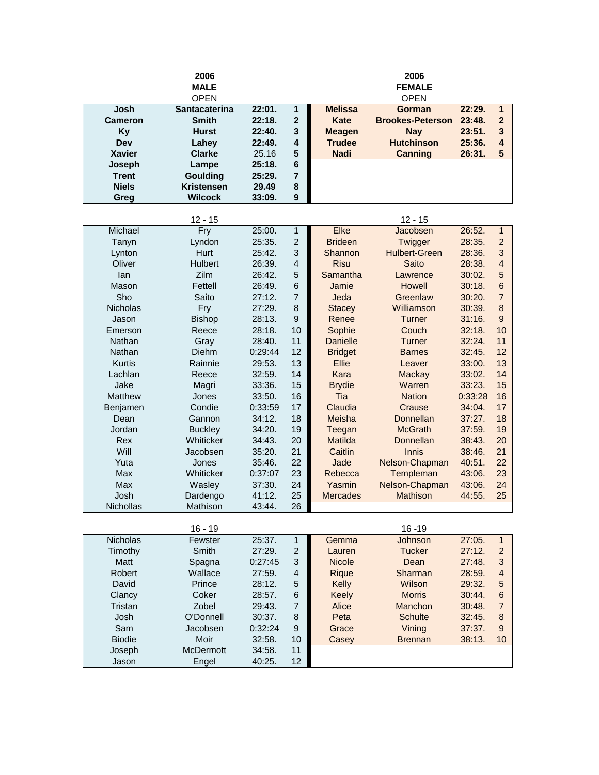|                 | 2006                 |         |                |                 | 2006                    |        |                         |  |
|-----------------|----------------------|---------|----------------|-----------------|-------------------------|--------|-------------------------|--|
|                 | <b>MALE</b>          |         |                |                 | <b>FEMALE</b>           |        |                         |  |
|                 | <b>OPEN</b>          |         |                |                 | <b>OPEN</b>             |        |                         |  |
| Josh            | <b>Santacaterina</b> | 22:01.  | 1              | <b>Melissa</b>  | <b>Gorman</b>           | 22:29. | $\mathbf{1}$            |  |
| Cameron         | <b>Smith</b>         | 22:18.  | $\overline{2}$ | <b>Kate</b>     | <b>Brookes-Peterson</b> | 23:48. | $\overline{2}$          |  |
| <b>Ky</b>       | <b>Hurst</b>         | 22:40.  | 3              | <b>Meagen</b>   | <b>Nay</b>              | 23:51. | 3                       |  |
| Dev             | Lahey                | 22:49.  | 4              | <b>Trudee</b>   | <b>Hutchinson</b>       | 25:36. | $\overline{\mathbf{4}}$ |  |
| <b>Xavier</b>   | <b>Clarke</b>        | 25.16   | 5              | <b>Nadi</b>     | <b>Canning</b>          | 26:31. | 5                       |  |
| Joseph          | Lampe                | 25:18.  | 6              |                 |                         |        |                         |  |
| <b>Trent</b>    | Goulding             | 25:29.  | 7              |                 |                         |        |                         |  |
| <b>Niels</b>    | <b>Kristensen</b>    | 29.49   | 8              |                 |                         |        |                         |  |
| Greg            | <b>Wilcock</b>       | 33:09.  | 9              |                 |                         |        |                         |  |
|                 |                      |         |                |                 |                         |        |                         |  |
|                 | $12 - 15$            |         |                |                 | $12 - 15$               |        |                         |  |
| Michael         | Fry                  | 25:00.  | 1              | Elke            | Jacobsen                | 26:52. | $\mathbf{1}$            |  |
| Tanyn           | Lyndon               | 25:35.  | $\overline{2}$ | <b>Brideen</b>  | Twigger                 | 28:35. | $\overline{2}$          |  |
| Lynton          | Hurt                 | 25:42.  | 3              | Shannon         | <b>Hulbert-Green</b>    | 28:36. | 3                       |  |
| Oliver          | <b>Hulbert</b>       | 26:39.  | 4              | <b>Risu</b>     | Saito                   | 28:38. | $\overline{4}$          |  |
| lan             | <b>Zilm</b>          | 26:42.  | 5              | Samantha        | Lawrence                | 30:02. | 5                       |  |
| Mason           | Fettell              | 26:49.  | 6              | Jamie           | Howell                  | 30:18. | 6                       |  |
| Sho             | Saito                | 27:12.  | 7              | Jeda            | Greenlaw                | 30:20. | $\overline{7}$          |  |
| <b>Nicholas</b> | Fry                  | 27:29.  | 8              | <b>Stacey</b>   | Williamson              | 30:39. | 8                       |  |
| Jason           | <b>Bishop</b>        | 28:13.  | 9              | Renee           | Turner                  | 31:16. | 9                       |  |
| Emerson         | Reece                | 28:18.  | 10             | Sophie          | Couch                   | 32:18. | 10                      |  |
| Nathan          | Gray                 | 28:40.  | 11             | <b>Danielle</b> | Turner                  | 32:24. | 11                      |  |
| Nathan          | <b>Diehm</b>         | 0:29:44 | 12             | <b>Bridget</b>  | <b>Barnes</b>           | 32:45. | 12                      |  |
| <b>Kurtis</b>   | Rainnie              | 29:53.  | 13             | <b>Ellie</b>    | Leaver                  | 33:00. | 13                      |  |
| Lachlan         | Reece                | 32:59.  | 14             | Kara            | <b>Mackay</b>           | 33:02. | 14                      |  |
| Jake            | Magri                | 33:36.  | 15             | <b>Brydie</b>   | Warren                  | 33:23. | 15                      |  |

Matthew Jones 33:50. 16 Tia Nation 0:33:28 16 Benjamen Condie 0:33:59 17 Claudia Crause 34:04. 17 Dean Gannon 34:12. 18 Meisha Donnellan 37:27. 18 Jordan Buckley 34:20. 19 Teegan McGrath 37:59. 19 Rex Whiticker 34:43. 20 Matilda Donnellan 38:43. 20 Will 38:46. 21 Caitlin Jacobsen 35:20. 21 Caitlin Innis 38:46. 21 Yuta Jones 35:46. 22 Jade Nelson-Chapman 40:51. 22 Max Whiticker 0:37:07 23 Rebecca Templeman 43:06. 23 Max Masley 37:30. 24 Yasmin Nelson-Chapman 43:06. 24

| Josh             | Dardengo         | 41:12.  | 25                | <b>Mercades</b> | <b>Mathison</b> | 44:55. | 25 |
|------------------|------------------|---------|-------------------|-----------------|-----------------|--------|----|
| <b>Nichollas</b> | Mathison         | 43:44.  | 26                |                 |                 |        |    |
|                  |                  |         |                   |                 |                 |        |    |
|                  | $16 - 19$        |         |                   |                 | $16 - 19$       |        |    |
| <b>Nicholas</b>  | Fewster          | 25:37.  | 1                 | Gemma           | Johnson         | 27:05. | 1  |
| Timothy          | Smith            | 27:29.  | 2                 | Lauren          | <b>Tucker</b>   | 27:12. | 2  |
| Matt             | Spagna           | 0:27:45 | 3                 | <b>Nicole</b>   | Dean            | 27:48. | 3  |
| Robert           | Wallace          | 27:59.  | $\overline{4}$    | Rique           | <b>Sharman</b>  | 28:59. | 4  |
| David            | Prince           | 28:12.  | 5                 | Kelly           | Wilson          | 29:32. | 5  |
| Clancy           | Coker            | 28:57.  | 6                 | <b>Keely</b>    | <b>Morris</b>   | 30:44. | 6  |
| Tristan          | Zobel            | 29:43.  | 7                 | Alice           | <b>Manchon</b>  | 30:48. | 7  |
| Josh             | O'Donnell        | 30:37.  | 8                 | Peta            | <b>Schulte</b>  | 32:45. | 8  |
| Sam              | Jacobsen         | 0:32:24 | 9                 | Grace           | Vining          | 37:37. | 9  |
| <b>Biodie</b>    | Moir             | 32:58.  | 10                | Casey           | <b>Brennan</b>  | 38:13. | 10 |
| Joseph           | <b>McDermott</b> | 34:58.  | 11                |                 |                 |        |    |
| Jason            | Engel            | 40:25.  | $12 \overline{ }$ |                 |                 |        |    |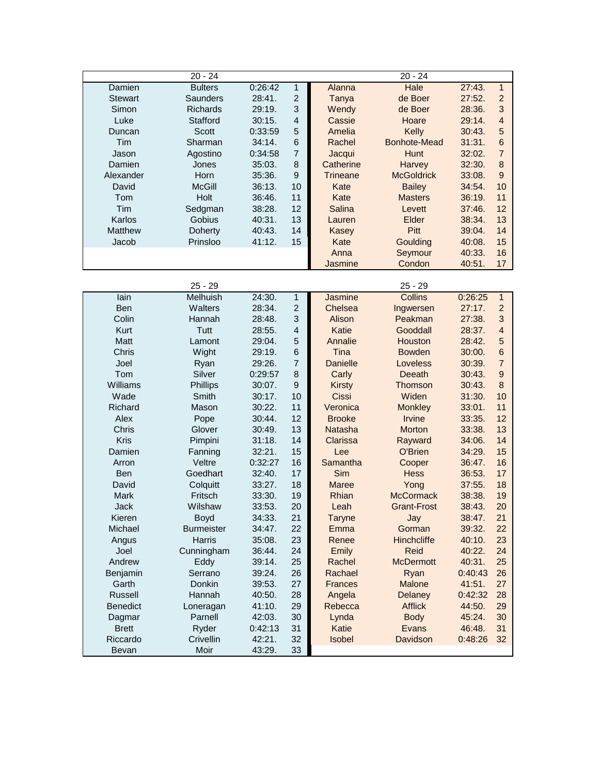|                 | $20 - 24$         |         |                          |                 | $20 - 24$           |         |                  |
|-----------------|-------------------|---------|--------------------------|-----------------|---------------------|---------|------------------|
| Damien          | <b>Bulters</b>    | 0:26:42 | $\mathbf{1}$             | Alanna          | Hale                | 27:43.  | $\mathbf{1}$     |
| <b>Stewart</b>  | Saunders          | 28:41.  | $\overline{2}$           | Tanya           | de Boer             | 27:52.  | $\overline{c}$   |
| Simon           | <b>Richards</b>   | 29:19.  | 3                        | Wendy           | de Boer             | 28:36.  | 3                |
| Luke            | Stafford          | 30:15.  | $\overline{\mathcal{L}}$ | Cassie          | Hoare               | 29:14.  | $\overline{4}$   |
| Duncan          | Scott             | 0:33:59 | 5                        | Amelia          | Kelly               | 30:43.  | 5                |
| Tim             | Sharman           | 34:14.  | 6                        | Rachel          | <b>Bonhote-Mead</b> | 31:31.  | $6\phantom{1}6$  |
| Jason           | Agostino          | 0:34:58 | $\overline{7}$           | Jacqui          | <b>Hunt</b>         | 32:02.  | $\overline{7}$   |
| Damien          | Jones             | 35:03.  | 8                        | Catherine       | Harvey              | 32:30.  | 8                |
| Alexander       | Horn              | 35:36.  | 9                        | <b>Trineane</b> | <b>McGoldrick</b>   | 33:08.  | $\boldsymbol{9}$ |
| David           | <b>McGill</b>     | 36:13.  | 10                       | Kate            | <b>Bailey</b>       | 34:54.  | 10               |
| Tom             | Holt              | 36:46.  | 11                       | Kate            | <b>Masters</b>      | 36:19.  | 11               |
| Tim             | Sedgman           | 38:28.  | 12                       | Salina          | Levett              | 37:46.  | 12               |
| Karlos          | Gobius            | 40:31.  | 13                       | Lauren          | Elder               | 38:34.  | 13               |
| Matthew         | Doherty           | 40:43.  | 14                       | <b>Kasey</b>    | Pitt                | 39:04.  | 14               |
| Jacob           | Prinsloo          | 41:12.  | 15                       | Kate            | Goulding            | 40:08.  | 15               |
|                 |                   |         |                          | Anna            | Seymour             | 40:33.  | 16               |
|                 |                   |         |                          | <b>Jasmine</b>  | Condon              | 40:51.  | 17               |
|                 |                   |         |                          |                 |                     |         |                  |
|                 | $25 - 29$         |         |                          |                 | $25 - 29$           |         |                  |
| lain            | <b>Melhuish</b>   | 24:30.  | $\mathbf{1}$             | Jasmine         | Collins             | 0:26:25 | $\mathbf{1}$     |
| Ben             | Walters           | 28:34.  | $\overline{2}$           | Chelsea         | Ingwersen           | 27:17.  | $\overline{c}$   |
| Colin           | Hannah            | 28:48.  | 3                        | Alison          | Peakman             | 27:38.  | 3                |
| Kurt            | Tutt              | 28:55.  | $\overline{\mathcal{L}}$ | <b>Katie</b>    | Gooddall            | 28:37.  | $\overline{4}$   |
| Matt            | Lamont            | 29:04.  | 5                        | Annalie         | Houston             | 28:42.  | 5                |
| Chris           | Wight             | 29:19.  | 6                        | Tina            | <b>Bowden</b>       | 30:00.  | $6\phantom{1}6$  |
| Joel            | Ryan              | 29:26.  | $\overline{7}$           | <b>Danielle</b> | Loveless            | 30:39.  | $\overline{7}$   |
| Tom             | Silver            | 0:29:57 | 8                        | Carly           | Deeath              | 30:43.  | $\boldsymbol{9}$ |
| Williams        | <b>Phillips</b>   | 30:07.  | 9                        | <b>Kirsty</b>   | Thomson             | 30:43.  | $\bf 8$          |
| Wade            | Smith             | 30:17.  | 10                       | Cissi           | Widen               | 31:30.  | 10               |
| Richard         | Mason             | 30:22.  | 11                       | Veronica        | <b>Monkley</b>      | 33:01.  | 11               |
| Alex            | Pope              | 30:44.  | 12                       | <b>Brooke</b>   | <b>Irvine</b>       | 33:35.  | 12               |
| Chris           | Glover            | 30:49.  | 13                       | <b>Natasha</b>  | Morton              | 33:38.  | 13               |
| Kris            | Pimpini           | 31:18.  | 14                       | Clarissa        | Rayward             | 34:06.  | 14               |
| Damien          | Fanning           | 32:21.  | 15                       | Lee             | O'Brien             | 34:29.  | 15               |
| Arron           | Veltre            | 0:32:27 | 16                       | Samantha        | Cooper              | 36:47.  | 16               |
| Ben             | Goedhart          | 32:40.  | 17                       | Sim             | <b>Hess</b>         | 36:53.  | 17               |
| David           | Colquitt          | 33:27.  | 18                       | <b>Maree</b>    | Yong                | 37:55.  | 18               |
| Mark            | Fritsch           | 33:30.  | 19                       | Rhian           | <b>McCormack</b>    | 38:38.  | 19               |
| Jack            | Wilshaw           | 33:53.  | 20                       | Leah            | Grant-Frost         | 38:43.  | 20               |
| Kieren          | <b>Boyd</b>       | 34:33.  | 21                       | Taryne          | Jay                 | 38:47.  | 21               |
| Michael         | <b>Burmeister</b> | 34:47.  | 22                       | Emma            | Gorman              | 39:32.  | 22               |
| Angus           | <b>Harris</b>     | 35:08.  | 23                       | Renee           | Hinchcliffe         | 40:10.  | 23               |
| Joel            | Cunningham        | 36:44.  | 24                       | Emily           | Reid                | 40:22.  | 24               |
| Andrew          | Eddy              | 39:14.  | 25                       | Rachel          | <b>McDermott</b>    | 40:31.  | 25               |
| Benjamin        | Serrano           | 39:24.  | 26                       | Rachael         | Ryan                | 0:40:43 | 26               |
| Garth           | Donkin            | 39:53.  | 27                       | <b>Frances</b>  | <b>Malone</b>       | 41:51.  | 27               |
| Russell         | Hannah            | 40:50.  | 28                       | Angela          | Delaney             | 0:42:32 | 28               |
| <b>Benedict</b> | Loneragan         | 41:10.  | 29                       | Rebecca         | <b>Afflick</b>      | 44:50.  | 29               |
| Dagmar          | Parnell           | 42:03.  | 30                       | Lynda           | <b>Body</b>         | 45:24.  | 30               |
| <b>Brett</b>    | Ryder             | 0:42:13 | 31                       | <b>Katie</b>    | Evans               | 46:48.  | 31               |
| Riccardo        | Crivellin         | 42:21.  | 32                       | Isobel          | Davidson            | 0:48:26 | 32               |
| Bevan           | Moir              | 43:29.  | 33                       |                 |                     |         |                  |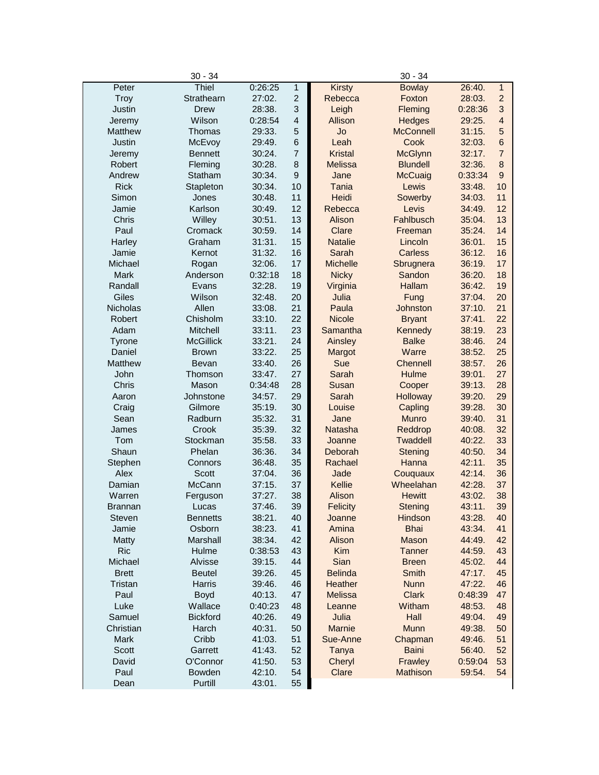| 0:26:25<br>1<br>26:40.<br>$\mathbf{1}$<br>Peter<br><b>Bowlay</b><br>$\overline{c}$<br>$\overline{c}$<br>Troy<br>Strathearn<br>27:02.<br>Rebecca<br>Foxton<br>28:03.<br>3<br>3<br>Justin<br><b>Drew</b><br>28:38.<br>Leigh<br>Fleming<br>0:28:36<br>$\overline{4}$<br>Wilson<br>$\overline{4}$<br>0:28:54<br>Allison<br><b>Hedges</b><br>29:25.<br>Jeremy<br>5<br>Jo<br><b>McConnell</b><br>5<br>Matthew<br>Thomas<br>29:33.<br>31:15.<br>$6\phantom{1}$<br>$6\phantom{1}$<br>Justin<br>McEvoy<br>29:49.<br>Leah<br>Cook<br>32:03.<br>$\overline{7}$<br>$\overline{7}$<br>30:24.<br><b>Kristal</b><br><b>McGlynn</b><br>32:17.<br>Jeremy<br><b>Bennett</b><br>8<br>$\bf 8$<br>Robert<br>Fleming<br>30:28.<br><b>Melissa</b><br><b>Blundell</b><br>32:36.<br>9<br>9<br>Andrew<br>Statham<br>30:34.<br>Jane<br>McCuaig<br>0:33:34<br>10<br>10<br><b>Rick</b><br>Stapleton<br>30:34.<br><b>Tania</b><br>Lewis<br>33:48.<br>11<br>11<br>Simon<br>Heidi<br>Sowerby<br>Jones<br>30:48.<br>34:03.<br>12<br>Karlson<br>12<br>Jamie<br>30:49.<br>Rebecca<br>Levis<br>34:49.<br>13<br>13<br>Fahlbusch<br>Chris<br>Willey<br>30:51.<br>Alison<br>35:04.<br>Paul<br>14<br>14<br>Cromack<br>30:59.<br>Clare<br>35:24.<br>Freeman<br>15<br>Graham<br>15<br>Harley<br>31:31.<br><b>Natalie</b><br>Lincoln<br>36:01.<br>31:32.<br>16<br>16<br>Jamie<br>Kernot<br>Sarah<br>Carless<br>36:12.<br>17<br>17<br>Michael<br>32:06.<br><b>Michelle</b><br>Sbrugnera<br>36:19.<br>Rogan<br>18<br>18<br><b>Mark</b><br>Anderson<br>0:32:18<br><b>Nicky</b><br>Sandon<br>36:20.<br>19<br>19<br>Randall<br>32:28.<br>Virginia<br><b>Hallam</b><br>36:42.<br>Evans<br>Giles<br>Wilson<br>20<br>Julia<br>20<br>32:48.<br>37:04.<br>Fung<br>21<br>Allen<br>21<br>Nicholas<br>33:08.<br>Paula<br>Johnston<br>37:10.<br>22<br>22<br>Robert<br>Chisholm<br>33:10.<br><b>Nicole</b><br><b>Bryant</b><br>37:41.<br>23<br>23<br>Adam<br>Mitchell<br>33:11.<br>Samantha<br>Kennedy<br>38:19.<br>24<br>24<br><b>McGillick</b><br>33:21.<br>Ainsley<br><b>Balke</b><br>38:46.<br>Tyrone<br>25<br>25<br>Warre<br>Daniel<br><b>Brown</b><br>33:22.<br>38:52.<br>Margot<br>26<br>Sue<br>26<br><b>Matthew</b><br>Bevan<br>33:40.<br>Chennell<br>38:57.<br>27<br>27<br>John<br>33:47.<br>Sarah<br>Hulme<br>39:01.<br>Thomson<br>28<br>Chris<br>Mason<br>0:34:48<br>28<br>Susan<br>Cooper<br>39:13.<br>29<br>29<br>Johnstone<br>34:57.<br>Sarah<br>Holloway<br>39:20.<br>Aaron<br>30<br>30<br>Gilmore<br>35:19.<br>Louise<br>39:28.<br>Craig<br>Capling<br>31<br>31<br>Sean<br>Radburn<br>35:32.<br>Jane<br><b>Munro</b><br>39:40.<br>32<br>32<br>Crook<br>35:39.<br>Natasha<br>Reddrop<br>40:08.<br>James<br>33<br>33<br>Tom<br>Stockman<br>35:58.<br><b>Twaddell</b><br>40:22.<br>Joanne<br>34<br>34<br>Shaun<br>Phelan<br>36:36.<br>Deborah<br>40:50.<br>Stening<br>35<br>35<br>36:48.<br>Rachael<br>Hanna<br>42:11.<br>Stephen<br>Connors<br>Alex<br>36<br>36<br><b>Scott</b><br>Jade<br>42:14.<br>37:04.<br>Couquaux<br>McCann<br>37<br>Wheelahan<br>37<br>Damian<br>37:15.<br>Kellie<br>42:28.<br>38<br>Alison<br>38<br>Warren<br>37:27.<br><b>Hewitt</b><br>43:02.<br>Ferguson<br>39<br>39<br>43:11.<br>37:46.<br><b>Felicity</b><br><b>Stening</b><br><b>Brannan</b><br>Lucas<br>38:21.<br>Steven<br><b>Bennetts</b><br>40<br>Hindson<br>43:28.<br>40<br>Joanne<br>38:23.<br>41<br><b>Bhai</b><br>43:34.<br>41<br>Jamie<br>Osborn<br>Amina<br>42<br>Marshall<br>38:34.<br>Alison<br>Mason<br>44:49.<br>42<br>Matty<br><b>Ric</b><br>43<br>Hulme<br>0:38:53<br>Kim<br><b>Tanner</b><br>44:59.<br>43<br>Michael<br>Alvisse<br>39:15.<br>44<br>Sian<br>45:02.<br>44<br><b>Breen</b><br>45<br><b>Belinda</b><br>45<br><b>Brett</b><br><b>Beutel</b><br>39:26.<br>Smith<br>47:17.<br>46<br>46<br>Tristan<br>Harris<br>39:46.<br>Heather<br><b>Nunn</b><br>47:22.<br>47<br><b>Clark</b><br>47<br>Paul<br><b>Boyd</b><br>40:13.<br><b>Melissa</b><br>0:48:39<br>Luke<br>Wallace<br>0:40:23<br>48<br>Witham<br>48:53.<br>48<br>Leanne<br>Julia<br>Samuel<br><b>Bickford</b><br>40:26.<br>49<br>Hall<br>49<br>49:04.<br>Christian<br>Harch<br>40:31.<br>50<br>Marnie<br>Munn<br>49:38.<br>50<br>Cribb<br>Mark<br>41:03.<br>51<br>Sue-Anne<br>51<br>Chapman<br>49:46.<br>Scott<br>Garrett<br>41:43.<br>52<br><b>Baini</b><br>52<br>Tanya<br>56:40.<br>Frawley<br>David<br>O'Connor<br>41:50.<br>53<br>Cheryl<br>53<br>0:59:04<br>54<br>Paul<br>Bowden<br>42:10.<br>Clare<br>Mathison<br>59:54.<br>54<br>55<br>Purtill<br>43:01.<br>Dean | $30 - 34$ |  |               | $30 - 34$ |  |
|-----------------------------------------------------------------------------------------------------------------------------------------------------------------------------------------------------------------------------------------------------------------------------------------------------------------------------------------------------------------------------------------------------------------------------------------------------------------------------------------------------------------------------------------------------------------------------------------------------------------------------------------------------------------------------------------------------------------------------------------------------------------------------------------------------------------------------------------------------------------------------------------------------------------------------------------------------------------------------------------------------------------------------------------------------------------------------------------------------------------------------------------------------------------------------------------------------------------------------------------------------------------------------------------------------------------------------------------------------------------------------------------------------------------------------------------------------------------------------------------------------------------------------------------------------------------------------------------------------------------------------------------------------------------------------------------------------------------------------------------------------------------------------------------------------------------------------------------------------------------------------------------------------------------------------------------------------------------------------------------------------------------------------------------------------------------------------------------------------------------------------------------------------------------------------------------------------------------------------------------------------------------------------------------------------------------------------------------------------------------------------------------------------------------------------------------------------------------------------------------------------------------------------------------------------------------------------------------------------------------------------------------------------------------------------------------------------------------------------------------------------------------------------------------------------------------------------------------------------------------------------------------------------------------------------------------------------------------------------------------------------------------------------------------------------------------------------------------------------------------------------------------------------------------------------------------------------------------------------------------------------------------------------------------------------------------------------------------------------------------------------------------------------------------------------------------------------------------------------------------------------------------------------------------------------------------------------------------------------------------------------------------------------------------------------------------------------------------------------------------------------------------------------------------------------------------------------------------------------------------------------------------------------------------------------------------------------------------------------------------------------------------------------------------------------------------------------------------------------------------------------------------------------------------------------------------------------------------------------------------------------------------------------------------------------------------------------------------------------------------------------------------------------------------------------------------------------------------------------------------|-----------|--|---------------|-----------|--|
|                                                                                                                                                                                                                                                                                                                                                                                                                                                                                                                                                                                                                                                                                                                                                                                                                                                                                                                                                                                                                                                                                                                                                                                                                                                                                                                                                                                                                                                                                                                                                                                                                                                                                                                                                                                                                                                                                                                                                                                                                                                                                                                                                                                                                                                                                                                                                                                                                                                                                                                                                                                                                                                                                                                                                                                                                                                                                                                                                                                                                                                                                                                                                                                                                                                                                                                                                                                                                                                                                                                                                                                                                                                                                                                                                                                                                                                                                                                                                                                                                                                                                                                                                                                                                                                                                                                                                                                                                                                                                         | Thiel     |  | <b>Kirsty</b> |           |  |
|                                                                                                                                                                                                                                                                                                                                                                                                                                                                                                                                                                                                                                                                                                                                                                                                                                                                                                                                                                                                                                                                                                                                                                                                                                                                                                                                                                                                                                                                                                                                                                                                                                                                                                                                                                                                                                                                                                                                                                                                                                                                                                                                                                                                                                                                                                                                                                                                                                                                                                                                                                                                                                                                                                                                                                                                                                                                                                                                                                                                                                                                                                                                                                                                                                                                                                                                                                                                                                                                                                                                                                                                                                                                                                                                                                                                                                                                                                                                                                                                                                                                                                                                                                                                                                                                                                                                                                                                                                                                                         |           |  |               |           |  |
|                                                                                                                                                                                                                                                                                                                                                                                                                                                                                                                                                                                                                                                                                                                                                                                                                                                                                                                                                                                                                                                                                                                                                                                                                                                                                                                                                                                                                                                                                                                                                                                                                                                                                                                                                                                                                                                                                                                                                                                                                                                                                                                                                                                                                                                                                                                                                                                                                                                                                                                                                                                                                                                                                                                                                                                                                                                                                                                                                                                                                                                                                                                                                                                                                                                                                                                                                                                                                                                                                                                                                                                                                                                                                                                                                                                                                                                                                                                                                                                                                                                                                                                                                                                                                                                                                                                                                                                                                                                                                         |           |  |               |           |  |
|                                                                                                                                                                                                                                                                                                                                                                                                                                                                                                                                                                                                                                                                                                                                                                                                                                                                                                                                                                                                                                                                                                                                                                                                                                                                                                                                                                                                                                                                                                                                                                                                                                                                                                                                                                                                                                                                                                                                                                                                                                                                                                                                                                                                                                                                                                                                                                                                                                                                                                                                                                                                                                                                                                                                                                                                                                                                                                                                                                                                                                                                                                                                                                                                                                                                                                                                                                                                                                                                                                                                                                                                                                                                                                                                                                                                                                                                                                                                                                                                                                                                                                                                                                                                                                                                                                                                                                                                                                                                                         |           |  |               |           |  |
|                                                                                                                                                                                                                                                                                                                                                                                                                                                                                                                                                                                                                                                                                                                                                                                                                                                                                                                                                                                                                                                                                                                                                                                                                                                                                                                                                                                                                                                                                                                                                                                                                                                                                                                                                                                                                                                                                                                                                                                                                                                                                                                                                                                                                                                                                                                                                                                                                                                                                                                                                                                                                                                                                                                                                                                                                                                                                                                                                                                                                                                                                                                                                                                                                                                                                                                                                                                                                                                                                                                                                                                                                                                                                                                                                                                                                                                                                                                                                                                                                                                                                                                                                                                                                                                                                                                                                                                                                                                                                         |           |  |               |           |  |
|                                                                                                                                                                                                                                                                                                                                                                                                                                                                                                                                                                                                                                                                                                                                                                                                                                                                                                                                                                                                                                                                                                                                                                                                                                                                                                                                                                                                                                                                                                                                                                                                                                                                                                                                                                                                                                                                                                                                                                                                                                                                                                                                                                                                                                                                                                                                                                                                                                                                                                                                                                                                                                                                                                                                                                                                                                                                                                                                                                                                                                                                                                                                                                                                                                                                                                                                                                                                                                                                                                                                                                                                                                                                                                                                                                                                                                                                                                                                                                                                                                                                                                                                                                                                                                                                                                                                                                                                                                                                                         |           |  |               |           |  |
|                                                                                                                                                                                                                                                                                                                                                                                                                                                                                                                                                                                                                                                                                                                                                                                                                                                                                                                                                                                                                                                                                                                                                                                                                                                                                                                                                                                                                                                                                                                                                                                                                                                                                                                                                                                                                                                                                                                                                                                                                                                                                                                                                                                                                                                                                                                                                                                                                                                                                                                                                                                                                                                                                                                                                                                                                                                                                                                                                                                                                                                                                                                                                                                                                                                                                                                                                                                                                                                                                                                                                                                                                                                                                                                                                                                                                                                                                                                                                                                                                                                                                                                                                                                                                                                                                                                                                                                                                                                                                         |           |  |               |           |  |
|                                                                                                                                                                                                                                                                                                                                                                                                                                                                                                                                                                                                                                                                                                                                                                                                                                                                                                                                                                                                                                                                                                                                                                                                                                                                                                                                                                                                                                                                                                                                                                                                                                                                                                                                                                                                                                                                                                                                                                                                                                                                                                                                                                                                                                                                                                                                                                                                                                                                                                                                                                                                                                                                                                                                                                                                                                                                                                                                                                                                                                                                                                                                                                                                                                                                                                                                                                                                                                                                                                                                                                                                                                                                                                                                                                                                                                                                                                                                                                                                                                                                                                                                                                                                                                                                                                                                                                                                                                                                                         |           |  |               |           |  |
|                                                                                                                                                                                                                                                                                                                                                                                                                                                                                                                                                                                                                                                                                                                                                                                                                                                                                                                                                                                                                                                                                                                                                                                                                                                                                                                                                                                                                                                                                                                                                                                                                                                                                                                                                                                                                                                                                                                                                                                                                                                                                                                                                                                                                                                                                                                                                                                                                                                                                                                                                                                                                                                                                                                                                                                                                                                                                                                                                                                                                                                                                                                                                                                                                                                                                                                                                                                                                                                                                                                                                                                                                                                                                                                                                                                                                                                                                                                                                                                                                                                                                                                                                                                                                                                                                                                                                                                                                                                                                         |           |  |               |           |  |
|                                                                                                                                                                                                                                                                                                                                                                                                                                                                                                                                                                                                                                                                                                                                                                                                                                                                                                                                                                                                                                                                                                                                                                                                                                                                                                                                                                                                                                                                                                                                                                                                                                                                                                                                                                                                                                                                                                                                                                                                                                                                                                                                                                                                                                                                                                                                                                                                                                                                                                                                                                                                                                                                                                                                                                                                                                                                                                                                                                                                                                                                                                                                                                                                                                                                                                                                                                                                                                                                                                                                                                                                                                                                                                                                                                                                                                                                                                                                                                                                                                                                                                                                                                                                                                                                                                                                                                                                                                                                                         |           |  |               |           |  |
|                                                                                                                                                                                                                                                                                                                                                                                                                                                                                                                                                                                                                                                                                                                                                                                                                                                                                                                                                                                                                                                                                                                                                                                                                                                                                                                                                                                                                                                                                                                                                                                                                                                                                                                                                                                                                                                                                                                                                                                                                                                                                                                                                                                                                                                                                                                                                                                                                                                                                                                                                                                                                                                                                                                                                                                                                                                                                                                                                                                                                                                                                                                                                                                                                                                                                                                                                                                                                                                                                                                                                                                                                                                                                                                                                                                                                                                                                                                                                                                                                                                                                                                                                                                                                                                                                                                                                                                                                                                                                         |           |  |               |           |  |
|                                                                                                                                                                                                                                                                                                                                                                                                                                                                                                                                                                                                                                                                                                                                                                                                                                                                                                                                                                                                                                                                                                                                                                                                                                                                                                                                                                                                                                                                                                                                                                                                                                                                                                                                                                                                                                                                                                                                                                                                                                                                                                                                                                                                                                                                                                                                                                                                                                                                                                                                                                                                                                                                                                                                                                                                                                                                                                                                                                                                                                                                                                                                                                                                                                                                                                                                                                                                                                                                                                                                                                                                                                                                                                                                                                                                                                                                                                                                                                                                                                                                                                                                                                                                                                                                                                                                                                                                                                                                                         |           |  |               |           |  |
|                                                                                                                                                                                                                                                                                                                                                                                                                                                                                                                                                                                                                                                                                                                                                                                                                                                                                                                                                                                                                                                                                                                                                                                                                                                                                                                                                                                                                                                                                                                                                                                                                                                                                                                                                                                                                                                                                                                                                                                                                                                                                                                                                                                                                                                                                                                                                                                                                                                                                                                                                                                                                                                                                                                                                                                                                                                                                                                                                                                                                                                                                                                                                                                                                                                                                                                                                                                                                                                                                                                                                                                                                                                                                                                                                                                                                                                                                                                                                                                                                                                                                                                                                                                                                                                                                                                                                                                                                                                                                         |           |  |               |           |  |
|                                                                                                                                                                                                                                                                                                                                                                                                                                                                                                                                                                                                                                                                                                                                                                                                                                                                                                                                                                                                                                                                                                                                                                                                                                                                                                                                                                                                                                                                                                                                                                                                                                                                                                                                                                                                                                                                                                                                                                                                                                                                                                                                                                                                                                                                                                                                                                                                                                                                                                                                                                                                                                                                                                                                                                                                                                                                                                                                                                                                                                                                                                                                                                                                                                                                                                                                                                                                                                                                                                                                                                                                                                                                                                                                                                                                                                                                                                                                                                                                                                                                                                                                                                                                                                                                                                                                                                                                                                                                                         |           |  |               |           |  |
|                                                                                                                                                                                                                                                                                                                                                                                                                                                                                                                                                                                                                                                                                                                                                                                                                                                                                                                                                                                                                                                                                                                                                                                                                                                                                                                                                                                                                                                                                                                                                                                                                                                                                                                                                                                                                                                                                                                                                                                                                                                                                                                                                                                                                                                                                                                                                                                                                                                                                                                                                                                                                                                                                                                                                                                                                                                                                                                                                                                                                                                                                                                                                                                                                                                                                                                                                                                                                                                                                                                                                                                                                                                                                                                                                                                                                                                                                                                                                                                                                                                                                                                                                                                                                                                                                                                                                                                                                                                                                         |           |  |               |           |  |
|                                                                                                                                                                                                                                                                                                                                                                                                                                                                                                                                                                                                                                                                                                                                                                                                                                                                                                                                                                                                                                                                                                                                                                                                                                                                                                                                                                                                                                                                                                                                                                                                                                                                                                                                                                                                                                                                                                                                                                                                                                                                                                                                                                                                                                                                                                                                                                                                                                                                                                                                                                                                                                                                                                                                                                                                                                                                                                                                                                                                                                                                                                                                                                                                                                                                                                                                                                                                                                                                                                                                                                                                                                                                                                                                                                                                                                                                                                                                                                                                                                                                                                                                                                                                                                                                                                                                                                                                                                                                                         |           |  |               |           |  |
|                                                                                                                                                                                                                                                                                                                                                                                                                                                                                                                                                                                                                                                                                                                                                                                                                                                                                                                                                                                                                                                                                                                                                                                                                                                                                                                                                                                                                                                                                                                                                                                                                                                                                                                                                                                                                                                                                                                                                                                                                                                                                                                                                                                                                                                                                                                                                                                                                                                                                                                                                                                                                                                                                                                                                                                                                                                                                                                                                                                                                                                                                                                                                                                                                                                                                                                                                                                                                                                                                                                                                                                                                                                                                                                                                                                                                                                                                                                                                                                                                                                                                                                                                                                                                                                                                                                                                                                                                                                                                         |           |  |               |           |  |
|                                                                                                                                                                                                                                                                                                                                                                                                                                                                                                                                                                                                                                                                                                                                                                                                                                                                                                                                                                                                                                                                                                                                                                                                                                                                                                                                                                                                                                                                                                                                                                                                                                                                                                                                                                                                                                                                                                                                                                                                                                                                                                                                                                                                                                                                                                                                                                                                                                                                                                                                                                                                                                                                                                                                                                                                                                                                                                                                                                                                                                                                                                                                                                                                                                                                                                                                                                                                                                                                                                                                                                                                                                                                                                                                                                                                                                                                                                                                                                                                                                                                                                                                                                                                                                                                                                                                                                                                                                                                                         |           |  |               |           |  |
|                                                                                                                                                                                                                                                                                                                                                                                                                                                                                                                                                                                                                                                                                                                                                                                                                                                                                                                                                                                                                                                                                                                                                                                                                                                                                                                                                                                                                                                                                                                                                                                                                                                                                                                                                                                                                                                                                                                                                                                                                                                                                                                                                                                                                                                                                                                                                                                                                                                                                                                                                                                                                                                                                                                                                                                                                                                                                                                                                                                                                                                                                                                                                                                                                                                                                                                                                                                                                                                                                                                                                                                                                                                                                                                                                                                                                                                                                                                                                                                                                                                                                                                                                                                                                                                                                                                                                                                                                                                                                         |           |  |               |           |  |
|                                                                                                                                                                                                                                                                                                                                                                                                                                                                                                                                                                                                                                                                                                                                                                                                                                                                                                                                                                                                                                                                                                                                                                                                                                                                                                                                                                                                                                                                                                                                                                                                                                                                                                                                                                                                                                                                                                                                                                                                                                                                                                                                                                                                                                                                                                                                                                                                                                                                                                                                                                                                                                                                                                                                                                                                                                                                                                                                                                                                                                                                                                                                                                                                                                                                                                                                                                                                                                                                                                                                                                                                                                                                                                                                                                                                                                                                                                                                                                                                                                                                                                                                                                                                                                                                                                                                                                                                                                                                                         |           |  |               |           |  |
|                                                                                                                                                                                                                                                                                                                                                                                                                                                                                                                                                                                                                                                                                                                                                                                                                                                                                                                                                                                                                                                                                                                                                                                                                                                                                                                                                                                                                                                                                                                                                                                                                                                                                                                                                                                                                                                                                                                                                                                                                                                                                                                                                                                                                                                                                                                                                                                                                                                                                                                                                                                                                                                                                                                                                                                                                                                                                                                                                                                                                                                                                                                                                                                                                                                                                                                                                                                                                                                                                                                                                                                                                                                                                                                                                                                                                                                                                                                                                                                                                                                                                                                                                                                                                                                                                                                                                                                                                                                                                         |           |  |               |           |  |
|                                                                                                                                                                                                                                                                                                                                                                                                                                                                                                                                                                                                                                                                                                                                                                                                                                                                                                                                                                                                                                                                                                                                                                                                                                                                                                                                                                                                                                                                                                                                                                                                                                                                                                                                                                                                                                                                                                                                                                                                                                                                                                                                                                                                                                                                                                                                                                                                                                                                                                                                                                                                                                                                                                                                                                                                                                                                                                                                                                                                                                                                                                                                                                                                                                                                                                                                                                                                                                                                                                                                                                                                                                                                                                                                                                                                                                                                                                                                                                                                                                                                                                                                                                                                                                                                                                                                                                                                                                                                                         |           |  |               |           |  |
|                                                                                                                                                                                                                                                                                                                                                                                                                                                                                                                                                                                                                                                                                                                                                                                                                                                                                                                                                                                                                                                                                                                                                                                                                                                                                                                                                                                                                                                                                                                                                                                                                                                                                                                                                                                                                                                                                                                                                                                                                                                                                                                                                                                                                                                                                                                                                                                                                                                                                                                                                                                                                                                                                                                                                                                                                                                                                                                                                                                                                                                                                                                                                                                                                                                                                                                                                                                                                                                                                                                                                                                                                                                                                                                                                                                                                                                                                                                                                                                                                                                                                                                                                                                                                                                                                                                                                                                                                                                                                         |           |  |               |           |  |
|                                                                                                                                                                                                                                                                                                                                                                                                                                                                                                                                                                                                                                                                                                                                                                                                                                                                                                                                                                                                                                                                                                                                                                                                                                                                                                                                                                                                                                                                                                                                                                                                                                                                                                                                                                                                                                                                                                                                                                                                                                                                                                                                                                                                                                                                                                                                                                                                                                                                                                                                                                                                                                                                                                                                                                                                                                                                                                                                                                                                                                                                                                                                                                                                                                                                                                                                                                                                                                                                                                                                                                                                                                                                                                                                                                                                                                                                                                                                                                                                                                                                                                                                                                                                                                                                                                                                                                                                                                                                                         |           |  |               |           |  |
|                                                                                                                                                                                                                                                                                                                                                                                                                                                                                                                                                                                                                                                                                                                                                                                                                                                                                                                                                                                                                                                                                                                                                                                                                                                                                                                                                                                                                                                                                                                                                                                                                                                                                                                                                                                                                                                                                                                                                                                                                                                                                                                                                                                                                                                                                                                                                                                                                                                                                                                                                                                                                                                                                                                                                                                                                                                                                                                                                                                                                                                                                                                                                                                                                                                                                                                                                                                                                                                                                                                                                                                                                                                                                                                                                                                                                                                                                                                                                                                                                                                                                                                                                                                                                                                                                                                                                                                                                                                                                         |           |  |               |           |  |
|                                                                                                                                                                                                                                                                                                                                                                                                                                                                                                                                                                                                                                                                                                                                                                                                                                                                                                                                                                                                                                                                                                                                                                                                                                                                                                                                                                                                                                                                                                                                                                                                                                                                                                                                                                                                                                                                                                                                                                                                                                                                                                                                                                                                                                                                                                                                                                                                                                                                                                                                                                                                                                                                                                                                                                                                                                                                                                                                                                                                                                                                                                                                                                                                                                                                                                                                                                                                                                                                                                                                                                                                                                                                                                                                                                                                                                                                                                                                                                                                                                                                                                                                                                                                                                                                                                                                                                                                                                                                                         |           |  |               |           |  |
|                                                                                                                                                                                                                                                                                                                                                                                                                                                                                                                                                                                                                                                                                                                                                                                                                                                                                                                                                                                                                                                                                                                                                                                                                                                                                                                                                                                                                                                                                                                                                                                                                                                                                                                                                                                                                                                                                                                                                                                                                                                                                                                                                                                                                                                                                                                                                                                                                                                                                                                                                                                                                                                                                                                                                                                                                                                                                                                                                                                                                                                                                                                                                                                                                                                                                                                                                                                                                                                                                                                                                                                                                                                                                                                                                                                                                                                                                                                                                                                                                                                                                                                                                                                                                                                                                                                                                                                                                                                                                         |           |  |               |           |  |
|                                                                                                                                                                                                                                                                                                                                                                                                                                                                                                                                                                                                                                                                                                                                                                                                                                                                                                                                                                                                                                                                                                                                                                                                                                                                                                                                                                                                                                                                                                                                                                                                                                                                                                                                                                                                                                                                                                                                                                                                                                                                                                                                                                                                                                                                                                                                                                                                                                                                                                                                                                                                                                                                                                                                                                                                                                                                                                                                                                                                                                                                                                                                                                                                                                                                                                                                                                                                                                                                                                                                                                                                                                                                                                                                                                                                                                                                                                                                                                                                                                                                                                                                                                                                                                                                                                                                                                                                                                                                                         |           |  |               |           |  |
|                                                                                                                                                                                                                                                                                                                                                                                                                                                                                                                                                                                                                                                                                                                                                                                                                                                                                                                                                                                                                                                                                                                                                                                                                                                                                                                                                                                                                                                                                                                                                                                                                                                                                                                                                                                                                                                                                                                                                                                                                                                                                                                                                                                                                                                                                                                                                                                                                                                                                                                                                                                                                                                                                                                                                                                                                                                                                                                                                                                                                                                                                                                                                                                                                                                                                                                                                                                                                                                                                                                                                                                                                                                                                                                                                                                                                                                                                                                                                                                                                                                                                                                                                                                                                                                                                                                                                                                                                                                                                         |           |  |               |           |  |
|                                                                                                                                                                                                                                                                                                                                                                                                                                                                                                                                                                                                                                                                                                                                                                                                                                                                                                                                                                                                                                                                                                                                                                                                                                                                                                                                                                                                                                                                                                                                                                                                                                                                                                                                                                                                                                                                                                                                                                                                                                                                                                                                                                                                                                                                                                                                                                                                                                                                                                                                                                                                                                                                                                                                                                                                                                                                                                                                                                                                                                                                                                                                                                                                                                                                                                                                                                                                                                                                                                                                                                                                                                                                                                                                                                                                                                                                                                                                                                                                                                                                                                                                                                                                                                                                                                                                                                                                                                                                                         |           |  |               |           |  |
|                                                                                                                                                                                                                                                                                                                                                                                                                                                                                                                                                                                                                                                                                                                                                                                                                                                                                                                                                                                                                                                                                                                                                                                                                                                                                                                                                                                                                                                                                                                                                                                                                                                                                                                                                                                                                                                                                                                                                                                                                                                                                                                                                                                                                                                                                                                                                                                                                                                                                                                                                                                                                                                                                                                                                                                                                                                                                                                                                                                                                                                                                                                                                                                                                                                                                                                                                                                                                                                                                                                                                                                                                                                                                                                                                                                                                                                                                                                                                                                                                                                                                                                                                                                                                                                                                                                                                                                                                                                                                         |           |  |               |           |  |
|                                                                                                                                                                                                                                                                                                                                                                                                                                                                                                                                                                                                                                                                                                                                                                                                                                                                                                                                                                                                                                                                                                                                                                                                                                                                                                                                                                                                                                                                                                                                                                                                                                                                                                                                                                                                                                                                                                                                                                                                                                                                                                                                                                                                                                                                                                                                                                                                                                                                                                                                                                                                                                                                                                                                                                                                                                                                                                                                                                                                                                                                                                                                                                                                                                                                                                                                                                                                                                                                                                                                                                                                                                                                                                                                                                                                                                                                                                                                                                                                                                                                                                                                                                                                                                                                                                                                                                                                                                                                                         |           |  |               |           |  |
|                                                                                                                                                                                                                                                                                                                                                                                                                                                                                                                                                                                                                                                                                                                                                                                                                                                                                                                                                                                                                                                                                                                                                                                                                                                                                                                                                                                                                                                                                                                                                                                                                                                                                                                                                                                                                                                                                                                                                                                                                                                                                                                                                                                                                                                                                                                                                                                                                                                                                                                                                                                                                                                                                                                                                                                                                                                                                                                                                                                                                                                                                                                                                                                                                                                                                                                                                                                                                                                                                                                                                                                                                                                                                                                                                                                                                                                                                                                                                                                                                                                                                                                                                                                                                                                                                                                                                                                                                                                                                         |           |  |               |           |  |
|                                                                                                                                                                                                                                                                                                                                                                                                                                                                                                                                                                                                                                                                                                                                                                                                                                                                                                                                                                                                                                                                                                                                                                                                                                                                                                                                                                                                                                                                                                                                                                                                                                                                                                                                                                                                                                                                                                                                                                                                                                                                                                                                                                                                                                                                                                                                                                                                                                                                                                                                                                                                                                                                                                                                                                                                                                                                                                                                                                                                                                                                                                                                                                                                                                                                                                                                                                                                                                                                                                                                                                                                                                                                                                                                                                                                                                                                                                                                                                                                                                                                                                                                                                                                                                                                                                                                                                                                                                                                                         |           |  |               |           |  |
|                                                                                                                                                                                                                                                                                                                                                                                                                                                                                                                                                                                                                                                                                                                                                                                                                                                                                                                                                                                                                                                                                                                                                                                                                                                                                                                                                                                                                                                                                                                                                                                                                                                                                                                                                                                                                                                                                                                                                                                                                                                                                                                                                                                                                                                                                                                                                                                                                                                                                                                                                                                                                                                                                                                                                                                                                                                                                                                                                                                                                                                                                                                                                                                                                                                                                                                                                                                                                                                                                                                                                                                                                                                                                                                                                                                                                                                                                                                                                                                                                                                                                                                                                                                                                                                                                                                                                                                                                                                                                         |           |  |               |           |  |
|                                                                                                                                                                                                                                                                                                                                                                                                                                                                                                                                                                                                                                                                                                                                                                                                                                                                                                                                                                                                                                                                                                                                                                                                                                                                                                                                                                                                                                                                                                                                                                                                                                                                                                                                                                                                                                                                                                                                                                                                                                                                                                                                                                                                                                                                                                                                                                                                                                                                                                                                                                                                                                                                                                                                                                                                                                                                                                                                                                                                                                                                                                                                                                                                                                                                                                                                                                                                                                                                                                                                                                                                                                                                                                                                                                                                                                                                                                                                                                                                                                                                                                                                                                                                                                                                                                                                                                                                                                                                                         |           |  |               |           |  |
|                                                                                                                                                                                                                                                                                                                                                                                                                                                                                                                                                                                                                                                                                                                                                                                                                                                                                                                                                                                                                                                                                                                                                                                                                                                                                                                                                                                                                                                                                                                                                                                                                                                                                                                                                                                                                                                                                                                                                                                                                                                                                                                                                                                                                                                                                                                                                                                                                                                                                                                                                                                                                                                                                                                                                                                                                                                                                                                                                                                                                                                                                                                                                                                                                                                                                                                                                                                                                                                                                                                                                                                                                                                                                                                                                                                                                                                                                                                                                                                                                                                                                                                                                                                                                                                                                                                                                                                                                                                                                         |           |  |               |           |  |
|                                                                                                                                                                                                                                                                                                                                                                                                                                                                                                                                                                                                                                                                                                                                                                                                                                                                                                                                                                                                                                                                                                                                                                                                                                                                                                                                                                                                                                                                                                                                                                                                                                                                                                                                                                                                                                                                                                                                                                                                                                                                                                                                                                                                                                                                                                                                                                                                                                                                                                                                                                                                                                                                                                                                                                                                                                                                                                                                                                                                                                                                                                                                                                                                                                                                                                                                                                                                                                                                                                                                                                                                                                                                                                                                                                                                                                                                                                                                                                                                                                                                                                                                                                                                                                                                                                                                                                                                                                                                                         |           |  |               |           |  |
|                                                                                                                                                                                                                                                                                                                                                                                                                                                                                                                                                                                                                                                                                                                                                                                                                                                                                                                                                                                                                                                                                                                                                                                                                                                                                                                                                                                                                                                                                                                                                                                                                                                                                                                                                                                                                                                                                                                                                                                                                                                                                                                                                                                                                                                                                                                                                                                                                                                                                                                                                                                                                                                                                                                                                                                                                                                                                                                                                                                                                                                                                                                                                                                                                                                                                                                                                                                                                                                                                                                                                                                                                                                                                                                                                                                                                                                                                                                                                                                                                                                                                                                                                                                                                                                                                                                                                                                                                                                                                         |           |  |               |           |  |
|                                                                                                                                                                                                                                                                                                                                                                                                                                                                                                                                                                                                                                                                                                                                                                                                                                                                                                                                                                                                                                                                                                                                                                                                                                                                                                                                                                                                                                                                                                                                                                                                                                                                                                                                                                                                                                                                                                                                                                                                                                                                                                                                                                                                                                                                                                                                                                                                                                                                                                                                                                                                                                                                                                                                                                                                                                                                                                                                                                                                                                                                                                                                                                                                                                                                                                                                                                                                                                                                                                                                                                                                                                                                                                                                                                                                                                                                                                                                                                                                                                                                                                                                                                                                                                                                                                                                                                                                                                                                                         |           |  |               |           |  |
|                                                                                                                                                                                                                                                                                                                                                                                                                                                                                                                                                                                                                                                                                                                                                                                                                                                                                                                                                                                                                                                                                                                                                                                                                                                                                                                                                                                                                                                                                                                                                                                                                                                                                                                                                                                                                                                                                                                                                                                                                                                                                                                                                                                                                                                                                                                                                                                                                                                                                                                                                                                                                                                                                                                                                                                                                                                                                                                                                                                                                                                                                                                                                                                                                                                                                                                                                                                                                                                                                                                                                                                                                                                                                                                                                                                                                                                                                                                                                                                                                                                                                                                                                                                                                                                                                                                                                                                                                                                                                         |           |  |               |           |  |
|                                                                                                                                                                                                                                                                                                                                                                                                                                                                                                                                                                                                                                                                                                                                                                                                                                                                                                                                                                                                                                                                                                                                                                                                                                                                                                                                                                                                                                                                                                                                                                                                                                                                                                                                                                                                                                                                                                                                                                                                                                                                                                                                                                                                                                                                                                                                                                                                                                                                                                                                                                                                                                                                                                                                                                                                                                                                                                                                                                                                                                                                                                                                                                                                                                                                                                                                                                                                                                                                                                                                                                                                                                                                                                                                                                                                                                                                                                                                                                                                                                                                                                                                                                                                                                                                                                                                                                                                                                                                                         |           |  |               |           |  |
|                                                                                                                                                                                                                                                                                                                                                                                                                                                                                                                                                                                                                                                                                                                                                                                                                                                                                                                                                                                                                                                                                                                                                                                                                                                                                                                                                                                                                                                                                                                                                                                                                                                                                                                                                                                                                                                                                                                                                                                                                                                                                                                                                                                                                                                                                                                                                                                                                                                                                                                                                                                                                                                                                                                                                                                                                                                                                                                                                                                                                                                                                                                                                                                                                                                                                                                                                                                                                                                                                                                                                                                                                                                                                                                                                                                                                                                                                                                                                                                                                                                                                                                                                                                                                                                                                                                                                                                                                                                                                         |           |  |               |           |  |
|                                                                                                                                                                                                                                                                                                                                                                                                                                                                                                                                                                                                                                                                                                                                                                                                                                                                                                                                                                                                                                                                                                                                                                                                                                                                                                                                                                                                                                                                                                                                                                                                                                                                                                                                                                                                                                                                                                                                                                                                                                                                                                                                                                                                                                                                                                                                                                                                                                                                                                                                                                                                                                                                                                                                                                                                                                                                                                                                                                                                                                                                                                                                                                                                                                                                                                                                                                                                                                                                                                                                                                                                                                                                                                                                                                                                                                                                                                                                                                                                                                                                                                                                                                                                                                                                                                                                                                                                                                                                                         |           |  |               |           |  |
|                                                                                                                                                                                                                                                                                                                                                                                                                                                                                                                                                                                                                                                                                                                                                                                                                                                                                                                                                                                                                                                                                                                                                                                                                                                                                                                                                                                                                                                                                                                                                                                                                                                                                                                                                                                                                                                                                                                                                                                                                                                                                                                                                                                                                                                                                                                                                                                                                                                                                                                                                                                                                                                                                                                                                                                                                                                                                                                                                                                                                                                                                                                                                                                                                                                                                                                                                                                                                                                                                                                                                                                                                                                                                                                                                                                                                                                                                                                                                                                                                                                                                                                                                                                                                                                                                                                                                                                                                                                                                         |           |  |               |           |  |
|                                                                                                                                                                                                                                                                                                                                                                                                                                                                                                                                                                                                                                                                                                                                                                                                                                                                                                                                                                                                                                                                                                                                                                                                                                                                                                                                                                                                                                                                                                                                                                                                                                                                                                                                                                                                                                                                                                                                                                                                                                                                                                                                                                                                                                                                                                                                                                                                                                                                                                                                                                                                                                                                                                                                                                                                                                                                                                                                                                                                                                                                                                                                                                                                                                                                                                                                                                                                                                                                                                                                                                                                                                                                                                                                                                                                                                                                                                                                                                                                                                                                                                                                                                                                                                                                                                                                                                                                                                                                                         |           |  |               |           |  |
|                                                                                                                                                                                                                                                                                                                                                                                                                                                                                                                                                                                                                                                                                                                                                                                                                                                                                                                                                                                                                                                                                                                                                                                                                                                                                                                                                                                                                                                                                                                                                                                                                                                                                                                                                                                                                                                                                                                                                                                                                                                                                                                                                                                                                                                                                                                                                                                                                                                                                                                                                                                                                                                                                                                                                                                                                                                                                                                                                                                                                                                                                                                                                                                                                                                                                                                                                                                                                                                                                                                                                                                                                                                                                                                                                                                                                                                                                                                                                                                                                                                                                                                                                                                                                                                                                                                                                                                                                                                                                         |           |  |               |           |  |
|                                                                                                                                                                                                                                                                                                                                                                                                                                                                                                                                                                                                                                                                                                                                                                                                                                                                                                                                                                                                                                                                                                                                                                                                                                                                                                                                                                                                                                                                                                                                                                                                                                                                                                                                                                                                                                                                                                                                                                                                                                                                                                                                                                                                                                                                                                                                                                                                                                                                                                                                                                                                                                                                                                                                                                                                                                                                                                                                                                                                                                                                                                                                                                                                                                                                                                                                                                                                                                                                                                                                                                                                                                                                                                                                                                                                                                                                                                                                                                                                                                                                                                                                                                                                                                                                                                                                                                                                                                                                                         |           |  |               |           |  |
|                                                                                                                                                                                                                                                                                                                                                                                                                                                                                                                                                                                                                                                                                                                                                                                                                                                                                                                                                                                                                                                                                                                                                                                                                                                                                                                                                                                                                                                                                                                                                                                                                                                                                                                                                                                                                                                                                                                                                                                                                                                                                                                                                                                                                                                                                                                                                                                                                                                                                                                                                                                                                                                                                                                                                                                                                                                                                                                                                                                                                                                                                                                                                                                                                                                                                                                                                                                                                                                                                                                                                                                                                                                                                                                                                                                                                                                                                                                                                                                                                                                                                                                                                                                                                                                                                                                                                                                                                                                                                         |           |  |               |           |  |
|                                                                                                                                                                                                                                                                                                                                                                                                                                                                                                                                                                                                                                                                                                                                                                                                                                                                                                                                                                                                                                                                                                                                                                                                                                                                                                                                                                                                                                                                                                                                                                                                                                                                                                                                                                                                                                                                                                                                                                                                                                                                                                                                                                                                                                                                                                                                                                                                                                                                                                                                                                                                                                                                                                                                                                                                                                                                                                                                                                                                                                                                                                                                                                                                                                                                                                                                                                                                                                                                                                                                                                                                                                                                                                                                                                                                                                                                                                                                                                                                                                                                                                                                                                                                                                                                                                                                                                                                                                                                                         |           |  |               |           |  |
|                                                                                                                                                                                                                                                                                                                                                                                                                                                                                                                                                                                                                                                                                                                                                                                                                                                                                                                                                                                                                                                                                                                                                                                                                                                                                                                                                                                                                                                                                                                                                                                                                                                                                                                                                                                                                                                                                                                                                                                                                                                                                                                                                                                                                                                                                                                                                                                                                                                                                                                                                                                                                                                                                                                                                                                                                                                                                                                                                                                                                                                                                                                                                                                                                                                                                                                                                                                                                                                                                                                                                                                                                                                                                                                                                                                                                                                                                                                                                                                                                                                                                                                                                                                                                                                                                                                                                                                                                                                                                         |           |  |               |           |  |
|                                                                                                                                                                                                                                                                                                                                                                                                                                                                                                                                                                                                                                                                                                                                                                                                                                                                                                                                                                                                                                                                                                                                                                                                                                                                                                                                                                                                                                                                                                                                                                                                                                                                                                                                                                                                                                                                                                                                                                                                                                                                                                                                                                                                                                                                                                                                                                                                                                                                                                                                                                                                                                                                                                                                                                                                                                                                                                                                                                                                                                                                                                                                                                                                                                                                                                                                                                                                                                                                                                                                                                                                                                                                                                                                                                                                                                                                                                                                                                                                                                                                                                                                                                                                                                                                                                                                                                                                                                                                                         |           |  |               |           |  |
|                                                                                                                                                                                                                                                                                                                                                                                                                                                                                                                                                                                                                                                                                                                                                                                                                                                                                                                                                                                                                                                                                                                                                                                                                                                                                                                                                                                                                                                                                                                                                                                                                                                                                                                                                                                                                                                                                                                                                                                                                                                                                                                                                                                                                                                                                                                                                                                                                                                                                                                                                                                                                                                                                                                                                                                                                                                                                                                                                                                                                                                                                                                                                                                                                                                                                                                                                                                                                                                                                                                                                                                                                                                                                                                                                                                                                                                                                                                                                                                                                                                                                                                                                                                                                                                                                                                                                                                                                                                                                         |           |  |               |           |  |
|                                                                                                                                                                                                                                                                                                                                                                                                                                                                                                                                                                                                                                                                                                                                                                                                                                                                                                                                                                                                                                                                                                                                                                                                                                                                                                                                                                                                                                                                                                                                                                                                                                                                                                                                                                                                                                                                                                                                                                                                                                                                                                                                                                                                                                                                                                                                                                                                                                                                                                                                                                                                                                                                                                                                                                                                                                                                                                                                                                                                                                                                                                                                                                                                                                                                                                                                                                                                                                                                                                                                                                                                                                                                                                                                                                                                                                                                                                                                                                                                                                                                                                                                                                                                                                                                                                                                                                                                                                                                                         |           |  |               |           |  |
|                                                                                                                                                                                                                                                                                                                                                                                                                                                                                                                                                                                                                                                                                                                                                                                                                                                                                                                                                                                                                                                                                                                                                                                                                                                                                                                                                                                                                                                                                                                                                                                                                                                                                                                                                                                                                                                                                                                                                                                                                                                                                                                                                                                                                                                                                                                                                                                                                                                                                                                                                                                                                                                                                                                                                                                                                                                                                                                                                                                                                                                                                                                                                                                                                                                                                                                                                                                                                                                                                                                                                                                                                                                                                                                                                                                                                                                                                                                                                                                                                                                                                                                                                                                                                                                                                                                                                                                                                                                                                         |           |  |               |           |  |
|                                                                                                                                                                                                                                                                                                                                                                                                                                                                                                                                                                                                                                                                                                                                                                                                                                                                                                                                                                                                                                                                                                                                                                                                                                                                                                                                                                                                                                                                                                                                                                                                                                                                                                                                                                                                                                                                                                                                                                                                                                                                                                                                                                                                                                                                                                                                                                                                                                                                                                                                                                                                                                                                                                                                                                                                                                                                                                                                                                                                                                                                                                                                                                                                                                                                                                                                                                                                                                                                                                                                                                                                                                                                                                                                                                                                                                                                                                                                                                                                                                                                                                                                                                                                                                                                                                                                                                                                                                                                                         |           |  |               |           |  |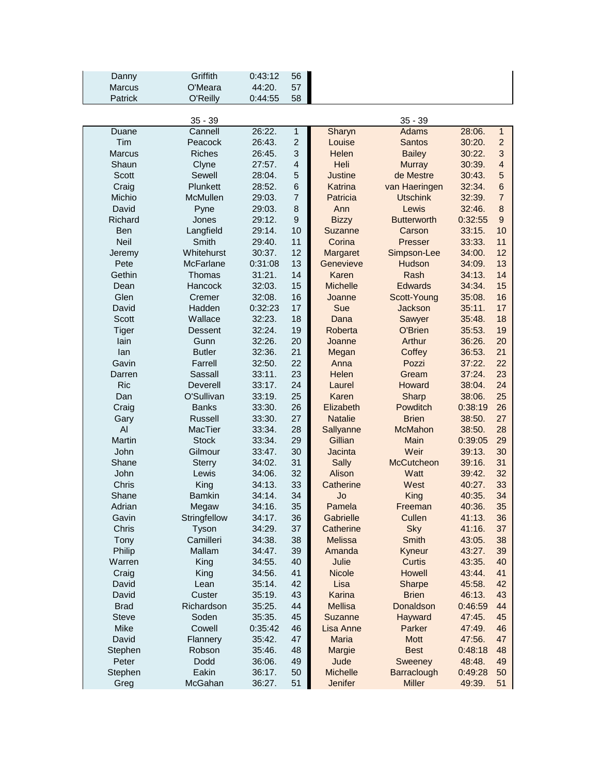| Danny         | Griffith                | 0:43:12          | 56               |                      |                        |                   |                         |
|---------------|-------------------------|------------------|------------------|----------------------|------------------------|-------------------|-------------------------|
| Marcus        | O'Meara                 | 44:20.           | 57               |                      |                        |                   |                         |
| Patrick       | O'Reilly                | 0:44:55          | 58               |                      |                        |                   |                         |
|               |                         |                  |                  |                      |                        |                   |                         |
|               | $35 - 39$               |                  |                  |                      | $35 - 39$              |                   |                         |
| Duane         | Cannell                 | 26:22.           | 1                | Sharyn               | <b>Adams</b>           | 28:06.            | $\mathbf{1}$            |
| Tim           | Peacock                 | 26:43.           | $\overline{2}$   | Louise               | <b>Santos</b>          | 30:20.            | $\overline{c}$          |
| <b>Marcus</b> | <b>Riches</b>           | 26:45.           | 3                | Helen                | <b>Bailey</b>          | 30:22.            | 3                       |
| Shaun         | Clyne                   | 27:57.           | $\overline{4}$   | Heli                 | <b>Murray</b>          | 30:39.            | $\overline{\mathbf{4}}$ |
| Scott         | Sewell                  | 28:04.           | 5                | <b>Justine</b>       | de Mestre              | 30:43.            | $\overline{5}$          |
| Craig         | Plunkett                | 28:52.           | $6\phantom{1}$   | Katrina              | van Haeringen          | 32:34.            | $6\phantom{1}$          |
| Michio        | McMullen                | 29:03.           | $\overline{7}$   | Patricia             | <b>Utschink</b>        | 32:39.            | $\overline{7}$          |
| David         | Pyne                    | 29:03.           | 8                | Ann                  | Lewis                  | 32:46.            | $\bf 8$                 |
| Richard       | Jones                   | 29:12.           | $\boldsymbol{9}$ | <b>Bizzy</b>         | <b>Butterworth</b>     | 0:32:55           | $\boldsymbol{9}$        |
| <b>Ben</b>    | Langfield               | 29:14.           | 10               | Suzanne              | Carson                 | 33:15.            | 10                      |
| Neil          | Smith                   | 29:40.           | 11               | Corina               | Presser                | 33:33.            | 11                      |
| Jeremy        | Whitehurst              | 30:37.           | 12               | Margaret             | Simpson-Lee            | 34:00.            | 12                      |
| Pete          | <b>McFarlane</b>        | 0:31:08          | 13               | Genevieve            | Hudson                 | 34:09.            | 13                      |
| Gethin        | Thomas                  | 31:21.           | 14               | Karen                | Rash                   | 34:13.            | 14                      |
| Dean          | Hancock                 | 32:03.           | 15               | <b>Michelle</b>      | <b>Edwards</b>         | 34:34.            | 15                      |
| Glen          | Cremer                  | 32:08.           | 16               | Joanne               | Scott-Young            | 35:08.            | 16                      |
| David         | Hadden                  | 0:32:23          | 17               | Sue                  | Jackson                | 35:11.            | 17                      |
| <b>Scott</b>  | Wallace                 | 32:23.           | 18               | Dana                 | Sawyer                 | 35:48.            | 18                      |
| <b>Tiger</b>  | <b>Dessent</b>          | 32:24.           | 19               | Roberta              | O'Brien                | 35:53.            | 19                      |
| lain          | Gunn                    | 32:26.           | 20               | Joanne               | Arthur                 | 36:26.            | 20                      |
| lan           | <b>Butler</b>           | 32:36.           | 21               | Megan                | Coffey                 | 36:53.            | 21                      |
| Gavin         | Farrell                 | 32:50.           | 22               | Anna                 | Pozzi                  | 37:22.            | 22                      |
| Darren        | Sassall                 | 33:11.           | 23               | Helen                | Gream                  | 37:24.            | 23                      |
| <b>Ric</b>    | Deverell                | 33:17.           | 24               | Laurel               | Howard                 | 38:04.            | 24                      |
| Dan           | O'Sullivan              | 33:19.           | 25               | Karen                | Sharp                  | 38:06.            | 25                      |
| Craig         | <b>Banks</b>            | 33:30.           | 26               | Elizabeth            | Powditch               | 0:38:19           | 26                      |
| Gary<br>AI    | <b>Russell</b>          | 33:30.           | 27<br>28         | <b>Natalie</b>       | <b>Brien</b>           | 38:50.            | 27<br>28                |
| Martin        | MacTier<br><b>Stock</b> | 33:34.           |                  | Sallyanne<br>Gillian | <b>McMahon</b><br>Main | 38:50.            | 29                      |
| John          | Gilmour                 | 33:34.<br>33:47. | 29<br>30         | Jacinta              | Weir                   | 0:39:05<br>39:13. | 30                      |
| Shane         | <b>Sterry</b>           | 34:02.           | 31               | <b>Sally</b>         | <b>McCutcheon</b>      | 39:16.            | 31                      |
| John          | Lewis                   | 34:06.           | 32               | Alison               | Watt                   | 39:42.            | 32                      |
| Chris         | King                    | 34:13.           | 33               | Catherine            | West                   | 40:27.            | 33                      |
| Shane         | <b>Bamkin</b>           | 34:14.           | 34               | Jo                   | King                   | 40:35.            | 34                      |
| Adrian        | Megaw                   | 34:16.           | 35               | Pamela               | Freeman                | 40:36.            | 35                      |
| Gavin         | Stringfellow            | 34:17.           | 36               | Gabrielle            | Cullen                 | 41:13.            | 36                      |
| Chris         | Tyson                   | 34:29.           | 37               | Catherine            | <b>Sky</b>             | 41:16.            | 37                      |
| Tony          | Camilleri               | 34:38.           | 38               | <b>Melissa</b>       | <b>Smith</b>           | 43:05.            | 38                      |
| Philip        | Mallam                  | 34:47.           | 39               | Amanda               | Kyneur                 | 43:27.            | 39                      |
| Warren        | King                    | 34:55.           | 40               | Julie                | <b>Curtis</b>          | 43:35.            | 40                      |
| Craig         | King                    | 34:56.           | 41               | <b>Nicole</b>        | Howell                 | 43:44.            | 41                      |
| David         | Lean                    | 35:14.           | 42               | Lisa                 | Sharpe                 | 45:58.            | 42                      |
| David         | Custer                  | 35:19.           | 43               | Karina               | <b>Brien</b>           | 46:13.            | 43                      |
| <b>Brad</b>   | Richardson              | 35:25.           | 44               | <b>Mellisa</b>       | Donaldson              | 0:46:59           | 44                      |
| <b>Steve</b>  | Soden                   | 35:35.           | 45               | Suzanne              | Hayward                | 47:45.            | 45                      |
| Mike          | Cowell                  | 0:35:42          | 46               | Lisa Anne            | Parker                 | 47:49.            | 46                      |
| David         | Flannery                | 35:42.           | 47               | <b>Maria</b>         | <b>Mott</b>            | 47:56.            | 47                      |
| Stephen       | Robson                  | 35:46.           | 48               | Margie               | <b>Best</b>            | 0:48:18           | 48                      |
| Peter         | Dodd                    | 36:06.           | 49               | Jude                 | Sweeney                | 48:48.            | 49                      |
| Stephen       | Eakin                   | 36:17.           | 50               | <b>Michelle</b>      | Barraclough            | 0:49:28           | 50                      |
| Greg          | McGahan                 | 36:27.           | 51               | Jenifer              | <b>Miller</b>          | 49:39.            | 51                      |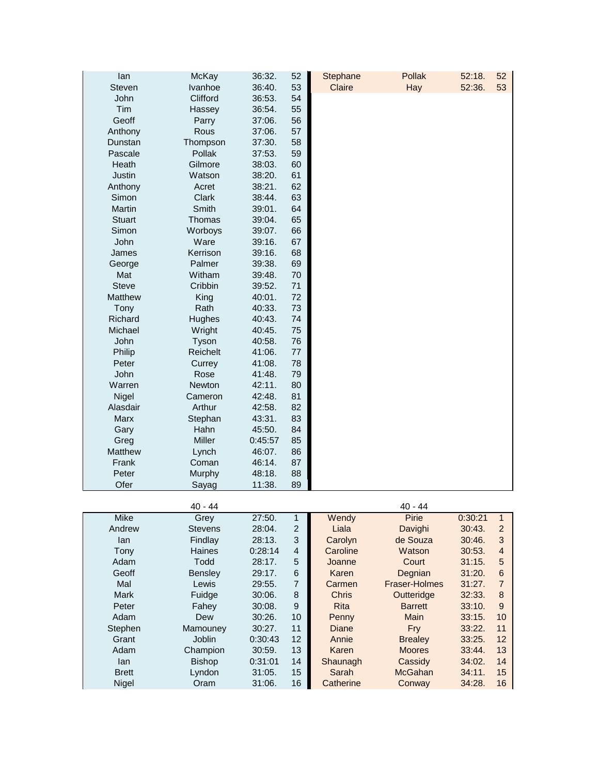| lan           | <b>McKay</b> | 36:32.  | 52 | Stephane | <b>Pollak</b> | 52:18. | 52 |
|---------------|--------------|---------|----|----------|---------------|--------|----|
| <b>Steven</b> | Ivanhoe      | 36:40.  | 53 | Claire   | Hay           | 52:36. | 53 |
| John          | Clifford     | 36:53.  | 54 |          |               |        |    |
| Tim           | Hassey       | 36:54.  | 55 |          |               |        |    |
| Geoff         | Parry        | 37:06.  | 56 |          |               |        |    |
| Anthony       | Rous         | 37:06.  | 57 |          |               |        |    |
| Dunstan       | Thompson     | 37:30.  | 58 |          |               |        |    |
| Pascale       | Pollak       | 37:53.  | 59 |          |               |        |    |
| Heath         | Gilmore      | 38:03.  | 60 |          |               |        |    |
| Justin        | Watson       | 38:20.  | 61 |          |               |        |    |
| Anthony       | Acret        | 38:21.  | 62 |          |               |        |    |
| Simon         | Clark        | 38:44.  | 63 |          |               |        |    |
| Martin        | Smith        | 39:01.  | 64 |          |               |        |    |
| <b>Stuart</b> | Thomas       | 39:04.  | 65 |          |               |        |    |
| Simon         | Worboys      | 39:07.  | 66 |          |               |        |    |
| John          | Ware         | 39:16.  | 67 |          |               |        |    |
| James         | Kerrison     | 39:16.  | 68 |          |               |        |    |
| George        | Palmer       | 39:38.  | 69 |          |               |        |    |
| Mat           | Witham       | 39:48.  | 70 |          |               |        |    |
| <b>Steve</b>  | Cribbin      | 39:52.  | 71 |          |               |        |    |
| Matthew       | King         | 40:01.  | 72 |          |               |        |    |
| Tony          | Rath         | 40:33.  | 73 |          |               |        |    |
| Richard       | Hughes       | 40:43.  | 74 |          |               |        |    |
| Michael       | Wright       | 40:45.  | 75 |          |               |        |    |
| John          | Tyson        | 40:58.  | 76 |          |               |        |    |
| Philip        | Reichelt     | 41:06.  | 77 |          |               |        |    |
| Peter         | Currey       | 41:08.  | 78 |          |               |        |    |
| John          | Rose         | 41:48.  | 79 |          |               |        |    |
| Warren        | Newton       | 42:11.  | 80 |          |               |        |    |
| Nigel         | Cameron      | 42:48.  | 81 |          |               |        |    |
| Alasdair      | Arthur       | 42:58.  | 82 |          |               |        |    |
| Marx          | Stephan      | 43:31.  | 83 |          |               |        |    |
| Gary          | Hahn         | 45:50.  | 84 |          |               |        |    |
| Greg          | Miller       | 0:45:57 | 85 |          |               |        |    |
| Matthew       | Lynch        | 46:07.  | 86 |          |               |        |    |
| Frank         | Coman        | 46:14.  | 87 |          |               |        |    |
| Peter         | Murphy       | 48:18.  | 88 |          |               |        |    |
| Ofer          | Sayag        | 11:38.  | 89 |          |               |        |    |

|              | $40 - 44$      |         |                |              | $40 - 44$      |         |                |
|--------------|----------------|---------|----------------|--------------|----------------|---------|----------------|
| <b>Mike</b>  | Grey           | 27:50.  | $\mathbf{1}$   | Wendy        | Pirie          | 0:30:21 | $\overline{1}$ |
| Andrew       | <b>Stevens</b> | 28:04.  | 2              | Liala        | Davighi        | 30:43.  | $\mathcal{P}$  |
| lan.         | Findlay        | 28:13.  | 3              | Carolyn      | de Souza       | 30:46.  | 3              |
| Tony         | Haines         | 0:28:14 | $\overline{4}$ | Caroline     | Watson         | 30:53.  | $\overline{4}$ |
| Adam         | Todd           | 28:17.  | 5              | Joanne       | Court          | 31:15.  | 5              |
| Geoff        | Bensley        | 29:17.  | 6              | Karen        | Degnian        | 31:20.  | 6              |
| Mal          | Lewis          | 29:55.  | 7              | Carmen       | Fraser-Holmes  | 31:27.  |                |
| <b>Mark</b>  | Fuidge         | 30:06.  | 8              | <b>Chris</b> | Outteridge     | 32:33.  | 8              |
| Peter        | Fahey          | 30:08.  | 9              | <b>Rita</b>  | <b>Barrett</b> | 33:10.  | 9              |
| Adam         | Dew            | 30:26.  | 10             | <b>Penny</b> | Main           | 33:15.  | 10             |
| Stephen      | Mamouney       | 30:27.  | 11             | Diane        | Fry            | 33:22.  | 11             |
| Grant        | Joblin         | 0:30:43 | 12             | Annie        | <b>Brealey</b> | 33:25.  | 12             |
| Adam         | Champion       | 30:59.  | 13             | Karen        | <b>Moores</b>  | 33:44.  | 13             |
| lan.         | <b>Bishop</b>  | 0:31:01 | 14             | Shaunagh     | Cassidy        | 34:02.  | 14             |
| <b>Brett</b> | Lyndon         | 31:05.  | 15             | Sarah        | McGahan        | 34:11.  | 15             |
| Nigel        | Oram           | 31:06.  | 16             | Catherine    | Conway         | 34:28.  | 16             |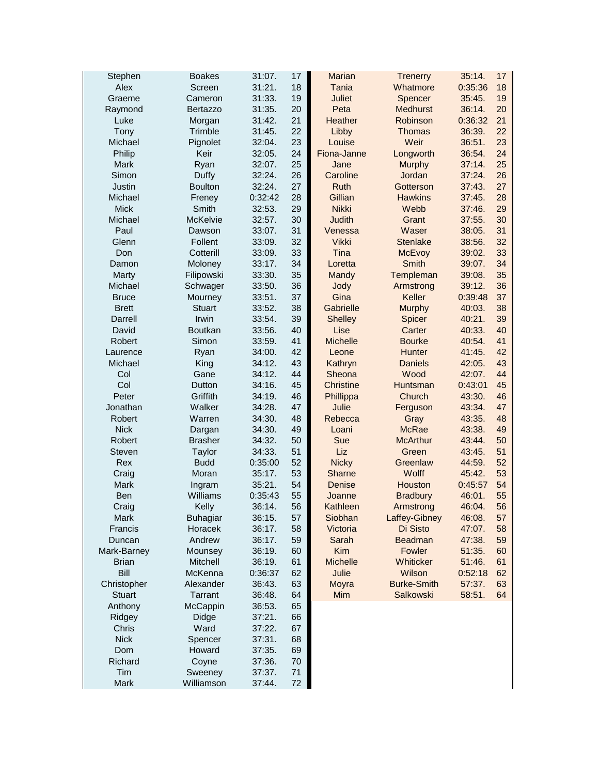| Stephen               | <b>Boakes</b>            | 31:07.           | 17       | <b>Marian</b>    | <b>Trenerry</b>      | 35:14.           | 17       |
|-----------------------|--------------------------|------------------|----------|------------------|----------------------|------------------|----------|
| Alex                  | Screen                   | 31:21.           | 18       | Tania            | Whatmore             | 0:35:36          | 18       |
| Graeme                | Cameron                  | 31:33.           | 19       | <b>Juliet</b>    | Spencer              | 35:45.           | 19       |
| Raymond               | <b>Bertazzo</b>          | 31:35.           | 20       | Peta             | <b>Medhurst</b>      | 36:14.           | 20       |
| Luke                  | Morgan                   | 31:42.           | 21       | Heather          | Robinson             | 0:36:32          | 21       |
| Tony                  | Trimble                  | 31:45.           | 22       | Libby            | Thomas               | 36:39.           | 22       |
| Michael               | Pignolet                 | 32:04.           | 23       | Louise           | Weir                 | 36:51.           | 23       |
| Philip                | Keir                     | 32:05.           | 24       | Fiona-Janne      | Longworth            | 36:54.           | 24       |
| Mark                  | Ryan                     | 32:07.           | 25       | Jane             | <b>Murphy</b>        | 37:14.           | 25       |
| Simon                 | Duffy                    | 32:24.           | 26       | Caroline         | Jordan               | 37:24.           | 26       |
| Justin                | <b>Boulton</b>           | 32:24.           | 27       | Ruth             | Gotterson            | 37:43.           | 27       |
| Michael               | Freney                   | 0:32:42          | 28       | Gillian          | <b>Hawkins</b>       | 37:45.           | 28       |
| <b>Mick</b>           | Smith                    | 32:53.           | 29       | <b>Nikki</b>     | Webb                 | 37:46.           | 29       |
| Michael               | McKelvie                 | 32:57.           | 30       | <b>Judith</b>    | Grant                | 37:55.           | 30       |
| Paul                  | Dawson                   | 33:07.           | 31       | Venessa          | Waser                | 38:05.           | 31       |
| Glenn                 | Follent                  | 33:09.           | 32       | <b>Vikki</b>     | <b>Stenlake</b>      | 38:56.           | 32       |
| Don                   | Cotterill                | 33:09.           | 33       | Tina             | McEvoy               | 39:02.           | 33       |
| Damon                 | Moloney                  | 33:17.           | 34       | Loretta          | <b>Smith</b>         | 39:07.           | 34       |
| Marty                 | Filipowski               | 33:30.           | 35       | Mandy            | Templeman            | 39:08.           | 35       |
| Michael               | Schwager                 | 33:50.           | 36       | Jody             | Armstrong            | 39:12.           | 36       |
| <b>Bruce</b>          | Mourney                  | 33:51.           | 37       | Gina             | Keller               | 0:39:48          | 37       |
| <b>Brett</b>          | <b>Stuart</b>            | 33:52.           | 38       | Gabrielle        | <b>Murphy</b>        | 40:03.           | 38       |
| Darrell               | Irwin                    | 33:54.           | 39       | <b>Shelley</b>   | Spicer               | 40:21.           | 39       |
| David                 | <b>Boutkan</b>           | 33:56.           | 40       | Lise             | Carter               | 40:33.           | 40       |
| Robert                | Simon                    | 33:59.           | 41       | <b>Michelle</b>  | <b>Bourke</b>        | 40:54.           | 41       |
| Laurence              | Ryan                     | 34:00.           | 42       | Leone            | Hunter               | 41:45.           | 42       |
| Michael               | King                     | 34:12.           | 43       | Kathryn          | <b>Daniels</b>       | 42:05.           | 43       |
| Col                   | Gane                     | 34:12.           | 44       | Sheona           | Wood                 | 42:07.           | 44       |
| Col                   | Dutton                   | 34:16.           | 45       | <b>Christine</b> | Huntsman             | 0:43:01          | 45       |
| Peter                 | Griffith                 | 34:19.           | 46       | Phillippa        | Church               | 43:30.           | 46       |
| Jonathan              | Walker                   | 34:28.           | 47       | Julie            | Ferguson             | 43:34.           | 47       |
| Robert<br><b>Nick</b> | Warren                   | 34:30.           | 48       | Rebecca          | Gray<br><b>McRae</b> | 43:35.           | 48       |
| Robert                | Dargan<br><b>Brasher</b> | 34:30.<br>34:32. | 49<br>50 | Loani<br>Sue     | <b>McArthur</b>      | 43:38.<br>43:44. | 49<br>50 |
| Steven                | Taylor                   | 34:33.           | 51       | Liz              | Green                | 43:45.           | 51       |
| Rex                   | <b>Budd</b>              | 0:35:00          | 52       | <b>Nicky</b>     | Greenlaw             | 44:59.           | 52       |
| Craig                 | Moran                    | 35:17.           | 53       | Sharne           | Wolff                | 45:42.           | 53       |
| Mark                  | Ingram                   | 35:21.           | 54       | Denise           | Houston              | 0:45:57          | 54       |
| Ben                   | Williams                 | 0:35:43          | 55       | Joanne           | <b>Bradbury</b>      | 46:01.           | 55       |
| Craig                 | Kelly                    | 36:14.           | 56       | Kathleen         | Armstrong            | 46:04            | 56       |
| Mark                  | <b>Buhagiar</b>          | 36:15.           | 57       | Siobhan          | Laffey-Gibney        | 46:08.           | 57       |
| Francis               | Horacek                  | 36:17.           | 58       | Victoria         | Di Sisto             | 47:07.           | 58       |
| Duncan                | Andrew                   | 36:17.           | 59       | Sarah            | <b>Beadman</b>       | 47:38.           | 59       |
| Mark-Barney           | Mounsey                  | 36:19.           | 60       | Kim              | Fowler               | 51:35.           | 60       |
| <b>Brian</b>          | <b>Mitchell</b>          | 36:19.           | 61       | <b>Michelle</b>  | Whiticker            | 51:46.           | 61       |
| Bill                  | McKenna                  | 0:36:37          | 62       | Julie            | Wilson               | 0:52:18          | 62       |
| Christopher           | Alexander                | 36:43.           | 63       | Moyra            | <b>Burke-Smith</b>   | 57:37.           | 63       |
| <b>Stuart</b>         | Tarrant                  | 36:48.           | 64       | <b>Mim</b>       | Salkowski            | 58:51.           | 64       |
| Anthony               | McCappin                 | 36:53.           | 65       |                  |                      |                  |          |
| Ridgey                | Didge                    | 37:21.           | 66       |                  |                      |                  |          |
| Chris                 | Ward                     | 37:22.           | 67       |                  |                      |                  |          |
| <b>Nick</b>           | Spencer                  | 37:31.           | 68       |                  |                      |                  |          |
| Dom                   | Howard                   | 37:35.           | 69       |                  |                      |                  |          |
| Richard               | Coyne                    | 37:36.           | 70       |                  |                      |                  |          |
| Tim                   | Sweeney                  | 37:37.           | 71       |                  |                      |                  |          |
| Mark                  | Williamson               | 37:44.           | $72\,$   |                  |                      |                  |          |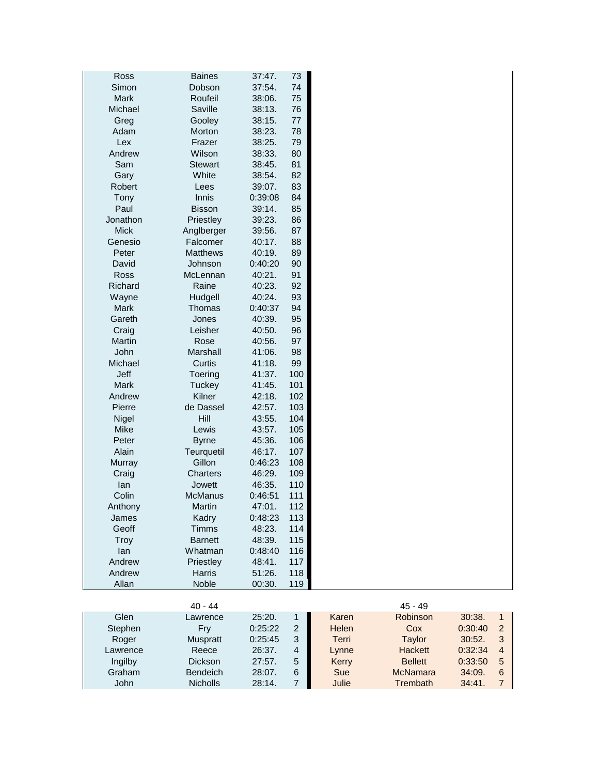| Ross        | <b>Baines</b>   | 37:47.  | 73      |
|-------------|-----------------|---------|---------|
| Simon       | Dobson          | 37:54.  | 74      |
| Mark        | Roufeil         | 38:06.  | 75      |
| Michael     | Saville         | 38:13.  | 76      |
| Greg        | Gooley          | 38:15.  | $77 \,$ |
| Adam        | Morton          | 38:23.  | 78      |
| Lex         | Frazer          | 38:25.  | 79      |
| Andrew      | Wilson          | 38:33.  | 80      |
| Sam         | <b>Stewart</b>  | 38:45.  | 81      |
| Gary        | White           | 38:54.  | 82      |
| Robert      | Lees            | 39:07.  | 83      |
| Tony        | Innis           | 0:39:08 | 84      |
| Paul        | <b>Bisson</b>   | 39:14.  | 85      |
| Jonathon    | Priestley       | 39:23.  | 86      |
| <b>Mick</b> | Anglberger      | 39:56.  | 87      |
| Genesio     | Falcomer        | 40:17.  | 88      |
| Peter       | <b>Matthews</b> | 40:19.  | 89      |
| David       | Johnson         | 0:40:20 | 90      |
| Ross        | McLennan        | 40:21.  | 91      |
| Richard     | Raine           | 40:23.  | 92      |
| Wayne       | Hudgell         | 40:24.  | 93      |
| Mark        | Thomas          | 0:40:37 | 94      |
| Gareth      | Jones           | 40:39.  | 95      |
| Craig       | Leisher         | 40:50.  | 96      |
| Martin      | Rose            | 40:56.  | 97      |
| John        | Marshall        | 41:06.  | 98      |
| Michael     | Curtis          | 41:18.  | 99      |
| Jeff        | Toering         | 41:37.  | 100     |
| Mark        | Tuckey          | 41:45.  | 101     |
| Andrew      | Kilner          | 42:18.  | 102     |
| Pierre      | de Dassel       | 42:57.  | 103     |
| Nigel       | Hill            | 43:55.  | 104     |
| Mike        | Lewis           | 43:57.  | 105     |
| Peter       | <b>Byrne</b>    | 45:36.  | 106     |
| Alain       | Teurquetil      | 46:17.  | 107     |
| Murray      | Gillon          | 0:46:23 | 108     |
| Craig       | Charters        | 46:29.  | 109     |
| lan         | Jowett          | 46:35.  | 110     |
| Colin       | <b>McManus</b>  | 0:46:51 | 111     |
| Anthony     | Martin          | 47:01.  | 112     |
| James       | Kadry           | 0:48:23 | 113     |
| Geoff       | Timms           | 48:23.  | 114     |
| Troy        | <b>Barnett</b>  | 48:39.  | 115     |
| lan         | Whatman         | 0:48:40 | 116     |
| Andrew      | Priestley       | 48:41.  | 117     |
| Andrew      | Harris          | 51:26.  | 118     |
| Allan       | Noble           | 00:30.  | 119     |
|             |                 |         |         |
|             | $40 - 44$       |         |         |

|          | $40 - 44$       |           |   |       | $45 - 49$      |         |                |
|----------|-----------------|-----------|---|-------|----------------|---------|----------------|
| Glen     | Lawrence        | 25:20.    |   | Karen | Robinson       | 30:38.  |                |
| Stephen  | Fry             | 0:25:22   | 2 | Helen | Cox            | 0:30:40 |                |
| Roger    | Muspratt        | 0:25:45   | 3 | Terri | Taylor         | 30:52.  |                |
| Lawrence | Reece           | 26:37.    | 4 | Lynne | <b>Hackett</b> | 0:32:34 | $\overline{A}$ |
| Ingilby  | <b>Dickson</b>  | $27:57$ . | 5 | Kerry | <b>Bellett</b> | 0:33:50 | 5              |
| Graham   | <b>Bendeich</b> | $28:07$ . | 6 | Sue   | McNamara       | 34:09.  | 6              |
| John     | <b>Nicholls</b> | 28:14.    |   | Julie | Trembath       | 34:41   |                |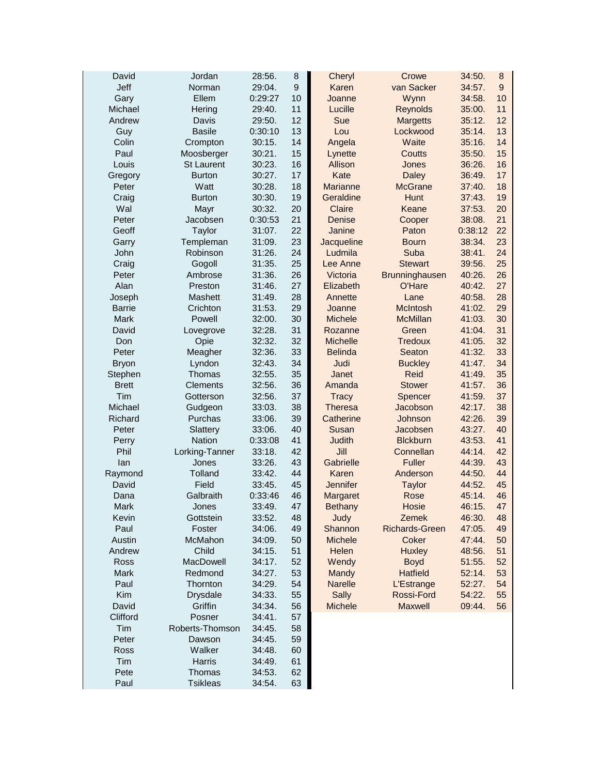| David         | Jordan          | 28:56.  | 8                | Cheryl          | Crowe                 | 34:50.  | 8              |
|---------------|-----------------|---------|------------------|-----------------|-----------------------|---------|----------------|
| Jeff          | Norman          | 29:04.  | $\boldsymbol{9}$ | Karen           | van Sacker            | 34:57.  | $\overline{9}$ |
| Gary          | Ellem           | 0:29:27 | 10               | Joanne          | Wynn                  | 34:58.  | 10             |
| Michael       | Hering          | 29:40.  | 11               | Lucille         | <b>Reynolds</b>       | 35:00.  | 11             |
| Andrew        | Davis           | 29:50.  | 12               | Sue             | <b>Margetts</b>       | 35:12.  | 12             |
| Guy           | <b>Basile</b>   | 0:30:10 | 13               | Lou             | Lockwood              | 35:14.  | 13             |
| Colin         | Crompton        | 30:15.  | 14               | Angela          | Waite                 | 35:16.  | 14             |
| Paul          | Moosberger      | 30:21.  | 15               | Lynette         | Coutts                | 35:50.  | 15             |
| Louis         | St Laurent      | 30:23.  | 16               | Allison         | Jones                 | 36:26.  | 16             |
| Gregory       | <b>Burton</b>   | 30:27.  | 17               | Kate            | <b>Daley</b>          | 36:49.  | 17             |
| Peter         | Watt            | 30:28.  | 18               | Marianne        | <b>McGrane</b>        | 37:40.  | 18             |
| Craig         | <b>Burton</b>   | 30:30.  | 19               | Geraldine       | Hunt                  | 37:43.  | 19             |
| Wal           | Mayr            | 30:32.  | 20               | Claire          | Keane                 | 37:53.  | 20             |
| Peter         | Jacobsen        | 0:30:53 | 21               | Denise          | Cooper                | 38:08.  | 21             |
| Geoff         | Taylor          | 31:07.  | 22               | Janine          | Paton                 | 0:38:12 | 22             |
| Garry         | Templeman       | 31:09.  | 23               | Jacqueline      | <b>Bourn</b>          | 38:34.  | 23             |
| John          | Robinson        | 31:26.  | 24               | Ludmila         | Suba                  | 38:41.  | 24             |
| Craig         | Gogoll          | 31:35.  | 25               | Lee Anne        | <b>Stewart</b>        | 39:56.  | 25             |
| Peter         | Ambrose         | 31:36.  | 26               | Victoria        | Brunninghausen        | 40:26.  | 26             |
| Alan          | Preston         | 31:46.  | 27               | Elizabeth       | O'Hare                | 40:42.  | 27             |
| Joseph        | Mashett         | 31:49.  | 28               | Annette         | Lane                  | 40:58.  | 28             |
| <b>Barrie</b> | Crichton        | 31:53.  | 29               | Joanne          | <b>McIntosh</b>       | 41:02.  | 29             |
| <b>Mark</b>   | Powell          | 32:00.  | 30               | <b>Michele</b>  | <b>McMillan</b>       | 41:03.  | 30             |
| David         | Lovegrove       | 32:28.  | 31               | Rozanne         | Green                 | 41:04.  | 31             |
| Don           | Opie            | 32:32.  | 32               | <b>Michelle</b> | <b>Tredoux</b>        | 41:05.  | 32             |
| Peter         | Meagher         | 32:36.  | 33               | <b>Belinda</b>  | Seaton                | 41:32.  | 33             |
| <b>Bryon</b>  | Lyndon          | 32:43.  | 34               | Judi            | <b>Buckley</b>        | 41:47.  | 34             |
| Stephen       | Thomas          | 32:55.  | 35               | Janet           | Reid                  | 41:49.  | 35             |
| <b>Brett</b>  | Clements        | 32:56.  | 36               | Amanda          | <b>Stower</b>         | 41:57.  | 36             |
| Tim           | Gotterson       | 32:56.  | 37               | <b>Tracy</b>    | Spencer               | 41:59.  | 37             |
| Michael       | Gudgeon         | 33:03.  | 38               | <b>Theresa</b>  | Jacobson              | 42:17.  | 38             |
| Richard       | Purchas         | 33:06.  | 39               | Catherine       | Johnson               | 42:26.  | 39             |
| Peter         | Slattery        | 33:06.  | 40               | Susan           | Jacobsen              | 43:27.  | 40             |
| Perry         | <b>Nation</b>   | 0:33:08 | 41               | <b>Judith</b>   | <b>Blckburn</b>       | 43:53.  | 41             |
| Phil          | Lorking-Tanner  | 33:18.  | 42               | Jill            | Connellan             | 44:14.  | 42             |
| lan           | Jones           | 33:26.  | 43               | Gabrielle       | <b>Fuller</b>         | 44:39.  | 43             |
| Raymond       | Tolland         | 33:42.  | 44               | Karen           | Anderson              | 44:50.  | 44             |
| David         | Field           | 33:45.  | 45               | Jennifer        | <b>Taylor</b>         | 44:52.  | 45             |
| Dana          | Galbraith       | 0:33:46 | 46               | Margaret        | Rose                  | 45:14.  | 46             |
| Mark          | Jones           | 33:49.  | 47               | <b>Bethany</b>  | Hosie                 | 46:15.  | 47             |
| Kevin         | Gottstein       | 33:52.  | 48               | Judy            | Zemek                 | 46:30.  | 48             |
| Paul          | Foster          | 34:06.  | 49               | Shannon         | <b>Richards-Green</b> | 47:05.  | 49             |
| Austin        | McMahon         | 34:09.  | 50               | <b>Michele</b>  | Coker                 | 47:44.  | 50             |
| Andrew        | Child           | 34:15.  | 51               | Helen           | <b>Huxley</b>         | 48:56.  | 51             |
| Ross          | MacDowell       | 34:17.  | 52               | Wendy           | <b>Boyd</b>           | 51:55.  | 52             |
| Mark          | Redmond         | 34:27.  | 53               | Mandy           | <b>Hatfield</b>       | 52:14.  | 53             |
| Paul          | Thornton        | 34:29.  | 54               | <b>Narelle</b>  | L'Estrange            | 52:27.  | 54             |
| Kim           | <b>Drysdale</b> | 34:33.  | 55               | Sally           | Rossi-Ford            | 54:22.  | 55             |
| David         | Griffin         | 34:34.  | 56               | Michele         | <b>Maxwell</b>        | 09:44.  | 56             |
| Clifford      | Posner          | 34:41.  | 57               |                 |                       |         |                |
| Tim           | Roberts-Thomson | 34:45.  | 58               |                 |                       |         |                |
| Peter         | Dawson          | 34:45.  | 59               |                 |                       |         |                |
| Ross          | Walker          | 34:48.  | 60               |                 |                       |         |                |
| Tim           | Harris          | 34:49.  | 61               |                 |                       |         |                |
| Pete          | Thomas          | 34:53.  | 62               |                 |                       |         |                |
| Paul          | <b>Tsikleas</b> | 34:54.  | 63               |                 |                       |         |                |
|               |                 |         |                  |                 |                       |         |                |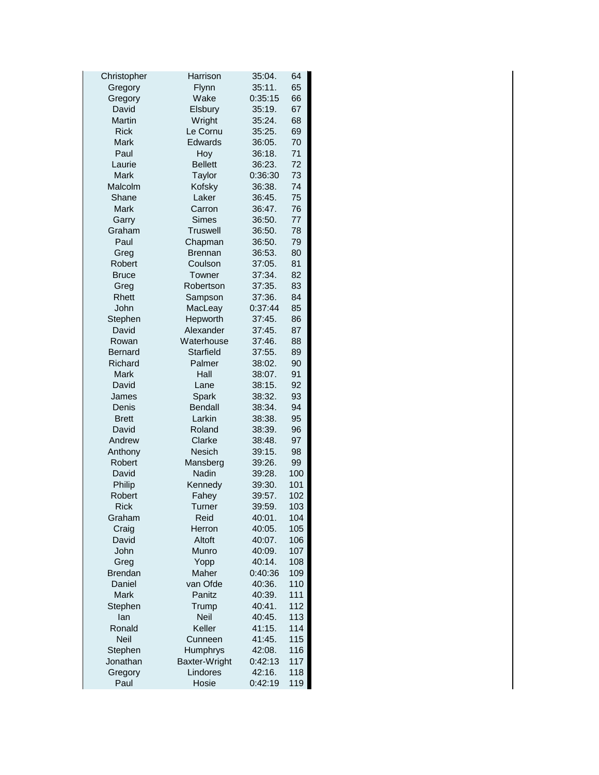| Christopher    | Harrison        | 35:04.  | 64  |
|----------------|-----------------|---------|-----|
| Gregory        | Flynn           | 35:11.  | 65  |
| Gregory        | Wake            | 0:35:15 | 66  |
| David          | Elsbury         | 35:19.  | 67  |
| Martin         | Wright          | 35:24.  | 68  |
| <b>Rick</b>    | Le Cornu        | 35:25.  | 69  |
| Mark           | Edwards         | 36:05.  | 70  |
| Paul           | Hoy             | 36:18.  | 71  |
| Laurie         | <b>Bellett</b>  | 36:23.  | 72  |
| <b>Mark</b>    | Taylor          | 0:36:30 | 73  |
| Malcolm        | Kofsky          | 36:38.  | 74  |
| Shane          | Laker           | 36:45.  | 75  |
| Mark           | Carron          | 36:47.  | 76  |
| Garry          | Simes           | 36:50.  | 77  |
| Graham         | <b>Truswell</b> | 36:50.  | 78  |
| Paul           | Chapman         | 36:50.  | 79  |
| Greg           | <b>Brennan</b>  | 36:53.  | 80  |
| Robert         | Coulson         | 37:05.  | 81  |
| <b>Bruce</b>   | Towner          | 37:34.  | 82  |
| Greg           | Robertson       | 37:35.  | 83  |
| Rhett          | Sampson         | 37:36.  | 84  |
| John           | MacLeay         | 0:37:44 | 85  |
| Stephen        | Hepworth        | 37:45.  | 86  |
| David          | Alexander       | 37:45.  | 87  |
| Rowan          | Waterhouse      | 37:46.  | 88  |
| <b>Bernard</b> | Starfield       | 37:55.  | 89  |
| Richard        | Palmer          | 38:02.  | 90  |
| Mark           | Hall            | 38:07.  | 91  |
| David          | Lane            | 38:15.  | 92  |
| James          | Spark           | 38:32.  | 93  |
| Denis          | <b>Bendall</b>  | 38:34.  | 94  |
| <b>Brett</b>   | Larkin          | 38:38.  | 95  |
| David          | Roland          | 38:39.  | 96  |
| Andrew         | Clarke          | 38:48.  | 97  |
| Anthony        | <b>Nesich</b>   | 39:15.  | 98  |
| Robert         | Mansberg        | 39:26.  | 99  |
| David          | Nadin           | 39:28.  |     |
| Philip         | Kennedy         |         | 100 |
| Robert         |                 | 39:30.  | 101 |
|                | Fahey           | 39:57.  | 102 |
| Rick           | Turner          | 39:59.  | 103 |
| Graham         | Reid            | 40:01.  | 104 |
| Craig          | Herron          | 40:05.  | 105 |
| David          | Altoft          | 40:07.  | 106 |
| John           | Munro           | 40:09.  | 107 |
| Greg           | Yopp            | 40:14.  | 108 |
| <b>Brendan</b> | Maher           | 0:40:36 | 109 |
| Daniel         | van Ofde        | 40:36.  | 110 |
| Mark           | Panitz          | 40:39.  | 111 |
| Stephen        | Trump           | 40:41.  | 112 |
| lan            | Neil            | 40:45.  | 113 |
| Ronald         | Keller          | 41:15.  | 114 |
| <b>Neil</b>    | Cunneen         | 41:45.  | 115 |
| Stephen        | Humphrys        | 42:08.  | 116 |
| Jonathan       | Baxter-Wright   | 0:42:13 | 117 |
| Gregory        | Lindores        | 42:16.  | 118 |
| Paul           | Hosie           | 0:42:19 | 119 |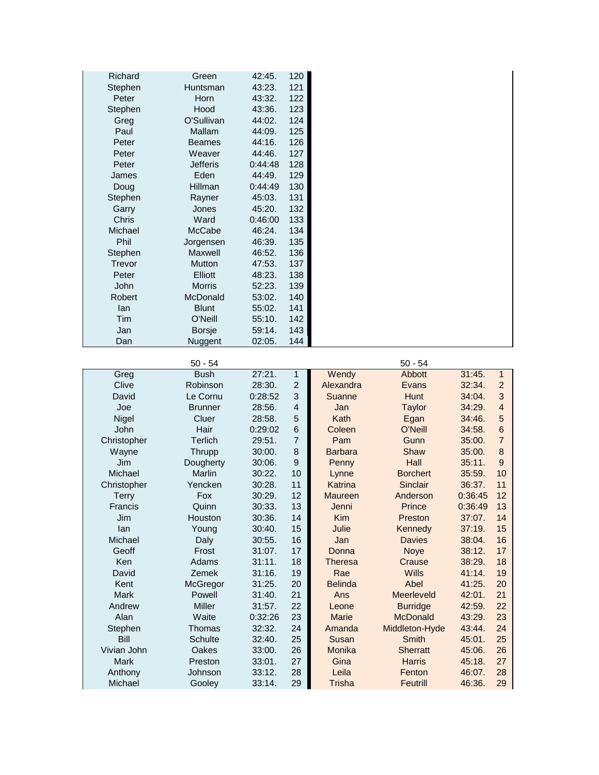| Richard      | Green           | 42:45.  | 120 |
|--------------|-----------------|---------|-----|
| Stephen      | Huntsman        | 43:23.  | 121 |
| Peter        | Horn            | 43:32.  | 122 |
| Stephen      | Hood            | 43:36.  | 123 |
| Greg         | O'Sullivan      | 44:02.  | 124 |
| Paul         | Mallam          | 44:09.  | 125 |
| Peter        | <b>Beames</b>   | 44:16.  | 126 |
| Peter        | Weaver          | 44:46.  | 127 |
| Peter        | <b>Jefferis</b> | 0:44:48 | 128 |
| James        | Eden            | 44:49.  | 129 |
| Doug         | Hillman         | 0:44:49 | 130 |
| Stephen      | Rayner          | 45:03.  | 131 |
| Garry        | Jones           | 45:20.  | 132 |
| <b>Chris</b> | Ward            | 0:46:00 | 133 |
| Michael      | McCabe          | 46:24.  | 134 |
| Phil         | Jorgensen       | 46:39.  | 135 |
| Stephen      | Maxwell         | 46:52.  | 136 |
| Trevor       | <b>Mutton</b>   | 47:53.  | 137 |
| Peter        | Elliott         | 48:23.  | 138 |
| John         | <b>Morris</b>   | 52:23.  | 139 |
| Robert       | McDonald        | 53:02.  | 140 |
| lan          | <b>Blunt</b>    | 55:02.  | 141 |
| <b>Tim</b>   | O'Neill         | 55:10.  | 142 |
| Jan          | <b>Borsje</b>   | 59:14.  | 143 |
| Dan          | Nuggent         | 02:05.  | 144 |

|                | $50 - 54$      |         |                |                | $50 - 54$       |         |                 |
|----------------|----------------|---------|----------------|----------------|-----------------|---------|-----------------|
| Greg           | <b>Bush</b>    | 27:21.  | 1              | Wendy          | Abbott          | 31:45.  | $\mathbf{1}$    |
| Clive          | Robinson       | 28:30.  | $\overline{2}$ | Alexandra      | Evans           | 32:34.  | $\overline{2}$  |
| David          | Le Cornu       | 0:28:52 | 3              | Suanne         | <b>Hunt</b>     | 34:04.  | 3               |
| Joe            | <b>Brunner</b> | 28:56.  | $\overline{4}$ | Jan            | <b>Taylor</b>   | 34:29.  | $\overline{4}$  |
| Nigel          | Cluer          | 28:58.  | 5              | Kath           | Egan            | 34:46.  | 5               |
| John           | Hair           | 0:29:02 | 6              | Coleen         | O'Neill         | 34:58.  | $6\phantom{1}6$ |
| Christopher    | Terlich        | 29:51.  | $\overline{7}$ | Pam            | Gunn            | 35:00.  | $\overline{7}$  |
| Wayne          | Thrupp         | 30:00.  | 8              | <b>Barbara</b> | Shaw            | 35:00.  | 8               |
| Jim            | Dougherty      | 30:06.  | 9              | Penny          | Hall            | 35:11.  | 9               |
| Michael        | Marlin         | 30:22.  | 10             | Lynne          | <b>Borchert</b> | 35:59.  | 10              |
| Christopher    | Yencken        | 30:28.  | 11             | Katrina        | Sinclair        | 36:37.  | 11              |
| Terry          | Fox            | 30:29.  | 12             | Maureen        | Anderson        | 0:36:45 | 12              |
| <b>Francis</b> | Quinn          | 30:33.  | 13             | Jenni          | Prince          | 0:36:49 | 13              |
| Jim            | Houston        | 30:36.  | 14             | <b>Kim</b>     | Preston         | 37:07.  | 14              |
| lan            | Young          | 30:40.  | 15             | Julie          | Kennedy         | 37:19.  | 15              |
| Michael        | Daly           | 30:55.  | 16             | Jan            | <b>Davies</b>   | 38:04.  | 16              |
| Geoff          | Frost          | 31:07.  | 17             | Donna          | <b>Noye</b>     | 38:12.  | 17              |
| Ken            | Adams          | 31:11.  | 18             | <b>Theresa</b> | Crause          | 38:29.  | 18              |
| David          | <b>Zemek</b>   | 31:16.  | 19             | Rae            | <b>Wills</b>    | 41:14.  | 19              |
| Kent           | McGregor       | 31:25.  | 20             | <b>Belinda</b> | Abel            | 41:25.  | 20              |
| <b>Mark</b>    | Powell         | 31:40.  | 21             | Ans            | Meerleveld      | 42:01.  | 21              |
| Andrew         | Miller         | 31:57.  | 22             | Leone          | <b>Burridge</b> | 42:59.  | 22              |
| Alan           | Waite          | 0:32:26 | 23             | <b>Marie</b>   | <b>McDonald</b> | 43:29.  | 23              |
| Stephen        | Thomas         | 32:32.  | 24             | Amanda         | Middleton-Hyde  | 43:44.  | 24              |
| Bill           | Schulte        | 32:40.  | 25             | Susan          | <b>Smith</b>    | 45:01.  | 25              |
| Vivian John    | Oakes          | 33:00.  | 26             | Monika         | <b>Sherratt</b> | 45:06.  | 26              |
| <b>Mark</b>    | Preston        | 33:01.  | 27             | Gina           | <b>Harris</b>   | 45:18.  | 27              |
| Anthony        | Johnson        | 33:12.  | 28             | Leila          | Fenton          | 46:07.  | 28              |
| Michael        | Gooley         | 33:14.  | 29             | Trisha         | Feutrill        | 46:36.  | 29              |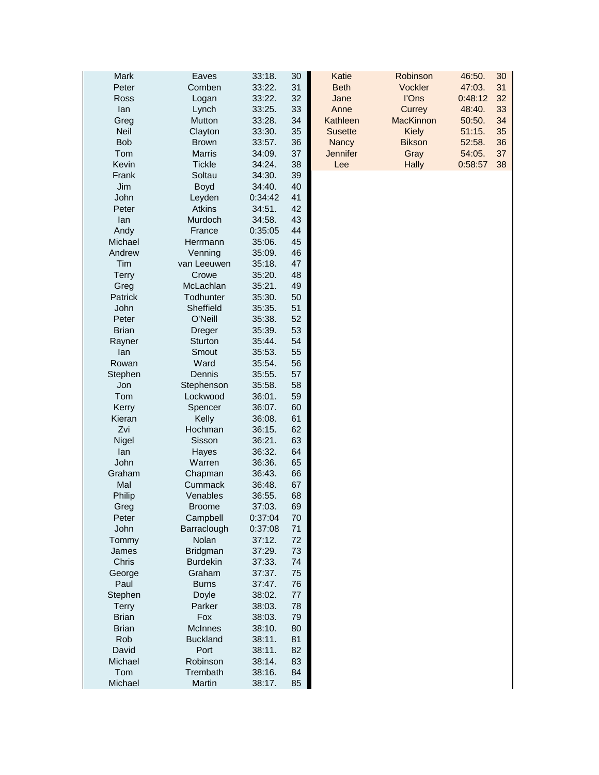| Mark         | Eaves           | 33:18.  | 30 | Katie           | Robinson         | 30<br>46:50.  |
|--------------|-----------------|---------|----|-----------------|------------------|---------------|
| Peter        | Comben          | 33:22.  | 31 | <b>Beth</b>     | Vockler          | 31<br>47:03.  |
| Ross         | Logan           | 33:22.  | 32 | Jane            | l'Ons            | 32<br>0:48:12 |
| lan          | Lynch           | 33:25.  | 33 | Anne            | Currey           | 33<br>48:40.  |
| Greg         | Mutton          | 33:28.  | 34 | Kathleen        | <b>MacKinnon</b> | 34<br>50:50.  |
| <b>Neil</b>  | Clayton         | 33:30.  | 35 | <b>Susette</b>  | <b>Kiely</b>     | 35<br>51:15.  |
| <b>Bob</b>   | <b>Brown</b>    | 33:57.  | 36 | <b>Nancy</b>    | <b>Bikson</b>    | 36<br>52:58.  |
| Tom          | <b>Marris</b>   |         | 37 | <b>Jennifer</b> | Gray             | 37            |
| Kevin        |                 | 34:09.  |    |                 |                  | 54:05.        |
|              | <b>Tickle</b>   | 34:24.  | 38 | Lee             | <b>Hally</b>     | 38<br>0:58:57 |
| Frank        | Soltau          | 34:30.  | 39 |                 |                  |               |
| Jim          | Boyd            | 34:40.  | 40 |                 |                  |               |
| John         | Leyden          | 0:34:42 | 41 |                 |                  |               |
| Peter        | Atkins          | 34:51.  | 42 |                 |                  |               |
| lan          | Murdoch         | 34:58.  | 43 |                 |                  |               |
| Andy         | France          | 0:35:05 | 44 |                 |                  |               |
| Michael      | Herrmann        | 35:06.  | 45 |                 |                  |               |
| Andrew       | Venning         | 35:09.  | 46 |                 |                  |               |
| Tim          | van Leeuwen     | 35:18.  | 47 |                 |                  |               |
| <b>Terry</b> | Crowe           | 35:20.  | 48 |                 |                  |               |
| Greg         | McLachlan       | 35:21.  | 49 |                 |                  |               |
| Patrick      | Todhunter       | 35:30.  | 50 |                 |                  |               |
| John         | Sheffield       | 35:35.  | 51 |                 |                  |               |
| Peter        | O'Neill         | 35:38.  | 52 |                 |                  |               |
| <b>Brian</b> | <b>Dreger</b>   | 35:39.  | 53 |                 |                  |               |
| Rayner       | Sturton         | 35:44.  | 54 |                 |                  |               |
| lan          | Smout           | 35:53.  | 55 |                 |                  |               |
| Rowan        | Ward            | 35:54.  | 56 |                 |                  |               |
| Stephen      | Dennis          | 35:55.  | 57 |                 |                  |               |
| Jon          | Stephenson      | 35:58.  | 58 |                 |                  |               |
| Tom          | Lockwood        | 36:01.  | 59 |                 |                  |               |
| Kerry        | Spencer         | 36:07.  | 60 |                 |                  |               |
| Kieran       | Kelly           | 36:08.  | 61 |                 |                  |               |
| Zvi          | Hochman         | 36:15.  | 62 |                 |                  |               |
|              | Sisson          | 36:21.  | 63 |                 |                  |               |
| Nigel        |                 |         | 64 |                 |                  |               |
| lan          | Hayes           | 36:32.  |    |                 |                  |               |
| John         | Warren          | 36:36.  | 65 |                 |                  |               |
| Graham       | Chapman         | 36:43.  | 66 |                 |                  |               |
| Mal          | Cummack         | 36:48.  | 67 |                 |                  |               |
| Philip       | Venables        | 36:55.  | 68 |                 |                  |               |
| Greg         | <b>Broome</b>   | 37:03   | 69 |                 |                  |               |
| Peter        | Campbell        | 0:37:04 | 70 |                 |                  |               |
| John         | Barraclough     | 0:37:08 | 71 |                 |                  |               |
| Tommy        | Nolan           | 37:12.  | 72 |                 |                  |               |
| James        | Bridgman        | 37:29.  | 73 |                 |                  |               |
| Chris        | <b>Burdekin</b> | 37:33.  | 74 |                 |                  |               |
| George       | Graham          | 37:37.  | 75 |                 |                  |               |
| Paul         | <b>Burns</b>    | 37:47.  | 76 |                 |                  |               |
| Stephen      | Doyle           | 38:02.  | 77 |                 |                  |               |
| Terry        | Parker          | 38:03.  | 78 |                 |                  |               |
| <b>Brian</b> | Fox             | 38:03.  | 79 |                 |                  |               |
| <b>Brian</b> | McInnes         | 38:10.  | 80 |                 |                  |               |
| Rob          | <b>Buckland</b> | 38:11.  | 81 |                 |                  |               |
| David        | Port            | 38:11.  | 82 |                 |                  |               |
| Michael      | Robinson        | 38:14.  | 83 |                 |                  |               |
| Tom          | Trembath        | 38:16.  | 84 |                 |                  |               |
| Michael      | Martin          | 38:17.  | 85 |                 |                  |               |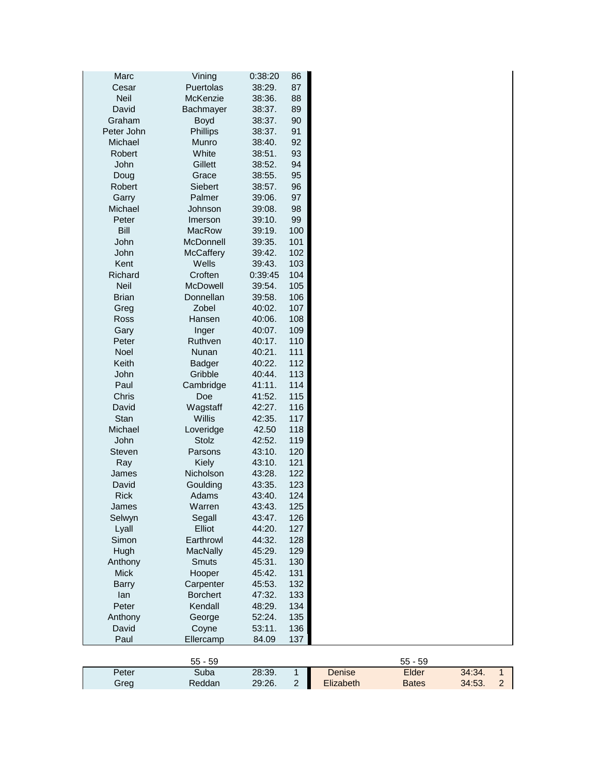| Marc                   | Vining           | 0:38:20 | 86             |               |              |        |
|------------------------|------------------|---------|----------------|---------------|--------------|--------|
| Cesar                  | Puertolas        | 38:29.  | 87             |               |              |        |
| <b>Neil</b>            | McKenzie         | 38:36.  | 88             |               |              |        |
| David                  | Bachmayer        | 38:37.  | 89             |               |              |        |
| Graham                 | Boyd             | 38:37.  | 90             |               |              |        |
| Peter John             | Phillips         | 38:37.  | 91             |               |              |        |
| Michael                | Munro            | 38:40.  | 92             |               |              |        |
| Robert                 | White            | 38:51.  | 93             |               |              |        |
| John                   | Gillett          | 38:52.  | 94             |               |              |        |
| Doug                   | Grace            | 38:55.  | 95             |               |              |        |
| Robert                 | Siebert          | 38:57.  | 96             |               |              |        |
| Garry                  | Palmer           | 39:06.  | 97             |               |              |        |
| Michael                | Johnson          | 39:08.  | 98             |               |              |        |
| Peter                  | Imerson          | 39:10.  | 99             |               |              |        |
| Bill                   | MacRow           | 39:19.  | 100            |               |              |        |
| John                   | McDonnell        | 39:35.  | 101            |               |              |        |
| John                   | <b>McCaffery</b> | 39:42.  | 102            |               |              |        |
| Kent                   | Wells            | 39:43.  | 103            |               |              |        |
| Richard                | Croften          | 0:39:45 | 104            |               |              |        |
| Neil                   | McDowell         | 39:54.  | 105            |               |              |        |
| <b>Brian</b>           | Donnellan        | 39:58.  | 106            |               |              |        |
| Greg                   | Zobel            | 40:02.  | 107            |               |              |        |
| Ross                   | Hansen           | 40:06.  | 108            |               |              |        |
| Gary                   | Inger            | 40:07.  | 109            |               |              |        |
| Peter                  | Ruthven          | 40:17.  | 110            |               |              |        |
| Noel                   | Nunan            | 40:21.  | 111            |               |              |        |
| Keith                  | <b>Badger</b>    | 40:22.  | 112            |               |              |        |
| John                   | Gribble          | 40:44.  | 113            |               |              |        |
| Paul                   | Cambridge        | 41:11.  | 114            |               |              |        |
| Chris                  | Doe              | 41:52.  | 115            |               |              |        |
| David                  | Wagstaff         | 42:27.  | 116            |               |              |        |
| Stan                   | Willis           | 42:35.  | 117            |               |              |        |
| Michael                | Loveridge        | 42.50   | 118            |               |              |        |
| John                   | Stolz            | 42:52.  | 119            |               |              |        |
| <b>Steven</b>          | Parsons          | 43:10.  | 120            |               |              |        |
| Ray                    | Kiely            | 43:10.  | 121            |               |              |        |
| James                  | Nicholson        | 43:28.  | 122            |               |              |        |
| David                  | Goulding         | 43:35.  | 123            |               |              |        |
| <b>Rick</b>            | Adams            | 43:40.  | 124            |               |              |        |
|                        | Warren           | 43:43.  | 125            |               |              |        |
| James                  | Segall           | 43:47.  | 126            |               |              |        |
| Selwyn                 | Elliot           | 44:20.  | 127            |               |              |        |
| Lyall<br>Simon         | Earthrowl        | 44:32.  | 128            |               |              |        |
| Hugh                   |                  | 45:29.  | 129            |               |              |        |
|                        | <b>MacNally</b>  |         |                |               |              |        |
| Anthony<br><b>Mick</b> | Smuts            | 45:31.  | 130            |               |              |        |
|                        | Hooper           | 45:42.  | 131            |               |              |        |
| <b>Barry</b>           | Carpenter        | 45:53.  | 132            |               |              |        |
| lan                    | <b>Borchert</b>  | 47:32.  | 133            |               |              |        |
| Peter                  | Kendall          | 48:29.  | 134            |               |              |        |
| Anthony                | George           | 52:24.  | 135            |               |              |        |
| David                  | Coyne            | 53:11.  | 136            |               |              |        |
| Paul                   | Ellercamp        | 84.09   | 137            |               |              |        |
|                        | $55 - 59$        |         |                |               | $55 - 59$    |        |
| Peter                  | Suba             | 28:39.  | 1              | <b>Denise</b> | Elder        | 34:34. |
| Greg                   | Reddan           | 29:26.  | $\overline{2}$ | Elizabeth     | <b>Bates</b> | 34:53. |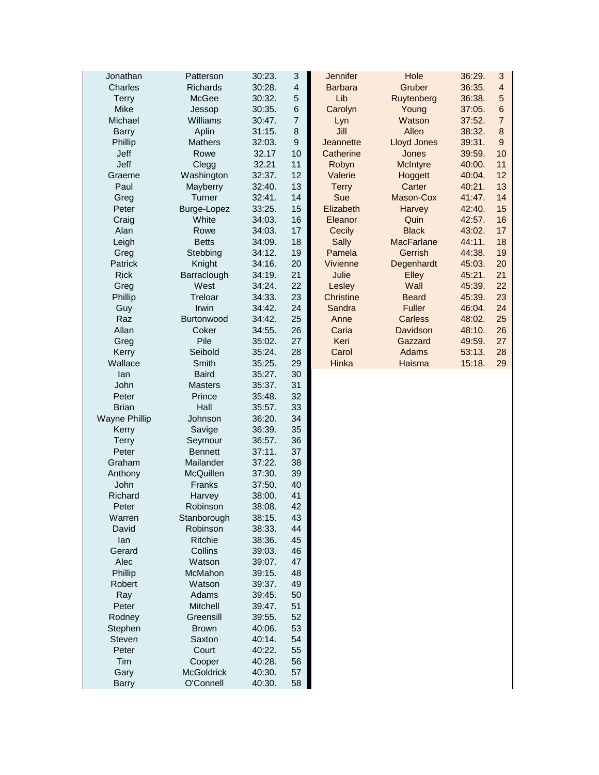| Jonathan             | Patterson             | 30:23.           | $\ensuremath{\mathsf{3}}$ | Jennifer         | Hole               | 36:29. | $\ensuremath{\mathsf{3}}$ |
|----------------------|-----------------------|------------------|---------------------------|------------------|--------------------|--------|---------------------------|
| Charles              | <b>Richards</b>       | 30:28.           | $\overline{\mathbf{r}}$   | <b>Barbara</b>   | Gruber             | 36:35. | $\overline{4}$            |
| <b>Terry</b>         | McGee                 | 30:32.           | 5                         | Lib              | Ruytenberg         | 36:38. | $\sqrt{5}$                |
| Mike                 | Jessop                | 30:35.           | $6\phantom{1}6$           | Carolyn          | Young              | 37:05. | $\,6$                     |
| Michael              | Williams              | 30:47.           | $\overline{7}$            | Lyn              | Watson             | 37:52. | $\overline{7}$            |
| <b>Barry</b>         | Aplin                 | 31:15.           | 8                         | Jill             | Allen              | 38:32. | $\bf8$                    |
| Phillip              | <b>Mathers</b>        | 32:03.           | 9                         | Jeannette        | <b>Lloyd Jones</b> | 39:31. | $\boldsymbol{9}$          |
| Jeff                 | Rowe                  | 32.17            | 10                        | Catherine        | Jones              | 39:59. | 10                        |
| Jeff                 | Clegg                 | 32.21            | 11                        | Robyn            | <b>McIntyre</b>    | 40:00. | 11                        |
| Graeme               | Washington            | 32:37.           | 12                        | Valerie          | Hoggett            | 40:04. | 12                        |
| Paul                 | Mayberry              | 32:40.           | 13                        | <b>Terry</b>     | Carter             | 40:21. | 13                        |
| Greg                 | Turner                | 32:41.           | 14                        | Sue              | Mason-Cox          | 41:47. | 14                        |
| Peter                | Burge-Lopez           | 33:25.           | 15                        | Elizabeth        | Harvey             | 42:40. | 15                        |
| Craig                | White                 | 34:03.           | 16                        | Eleanor          | Quin               | 42:57. | 16                        |
| Alan                 | Rowe                  | 34:03.           | 17                        | Cecily           | <b>Black</b>       | 43:02. | 17                        |
| Leigh                | <b>Betts</b>          | 34:09.           | 18                        | Sally            | <b>MacFarlane</b>  | 44:11. | 18                        |
| Greg                 | Stebbing              | 34:12.           | 19                        | Pamela           | Gerrish            | 44:38. | 19                        |
| Patrick              | Knight                | 34:16.           | 20                        | Vivienne         | Degenhardt         | 45:03. | 20                        |
| <b>Rick</b>          | Barraclough           | 34:19.           | 21                        | Julie            | Elley              | 45:21. | 21                        |
| Greg                 | West                  | 34:24.           | 22                        | Lesley           | Wall               | 45:39. | 22                        |
| Phillip              | Treloar               | 34:33.           | 23                        | <b>Christine</b> | <b>Beard</b>       | 45:39. | 23                        |
|                      | Irwin                 | 34:42.           | 24                        | Sandra           | <b>Fuller</b>      | 46:04. | 24                        |
| Guy<br>Raz           | Burtonwood            | 34:42.           | 25                        | Anne             | <b>Carless</b>     | 48:02. | 25                        |
| Allan                | Coker                 | 34:55.           | 26                        | Caria            | Davidson           | 48:10. | 26                        |
|                      | Pile                  |                  | 27                        | Keri             | Gazzard            |        | 27                        |
| Greg                 |                       | 35:02.           |                           |                  | Adams              | 49:59. |                           |
| Kerry<br>Wallace     | Seibold               | 35:24.           | 28<br>29                  | Carol<br>Hinka   |                    | 53:13. | 28                        |
| lan                  | Smith<br><b>Baird</b> | 35:25.<br>35:27. | 30                        |                  | Haisma             | 15:18. | 29                        |
| John                 | <b>Masters</b>        | 35:37.           | 31                        |                  |                    |        |                           |
| Peter                | Prince                | 35:48.           | 32                        |                  |                    |        |                           |
| <b>Brian</b>         | Hall                  | 35:57.           | 33                        |                  |                    |        |                           |
| <b>Wayne Phillip</b> | Johnson               | 36:20.           | 34                        |                  |                    |        |                           |
| Kerry                | Savige                | 36:39.           | 35                        |                  |                    |        |                           |
| <b>Terry</b>         | Seymour               | 36:57.           | 36                        |                  |                    |        |                           |
| Peter                | <b>Bennett</b>        | 37:11.           | 37                        |                  |                    |        |                           |
| Graham               | Mailander             |                  |                           |                  |                    |        |                           |
|                      | McQuillen             | 37:22.           | 38                        |                  |                    |        |                           |
| Anthony              |                       | 37:30.           | 39                        |                  |                    |        |                           |
| John                 | Franks                | 37:50.           | 40                        |                  |                    |        |                           |
| Richard              | Harvey                | 38:00.           | 41                        |                  |                    |        |                           |
| Peter                | Robinson              | 38:08.           | 42                        |                  |                    |        |                           |
| Warren               | Stanborough           | 38:15.           | 43                        |                  |                    |        |                           |
| David                | Robinson              | 38:33.           | 44                        |                  |                    |        |                           |
| lan                  | Ritchie               | 38:36.           | 45                        |                  |                    |        |                           |
| Gerard               | Collins               | 39:03.           | 46                        |                  |                    |        |                           |
| Alec                 | Watson                | 39:07.           | 47                        |                  |                    |        |                           |
| Phillip              | McMahon               | 39:15.           | 48                        |                  |                    |        |                           |
| <b>Robert</b>        | Watson                | 39:37.           | 49                        |                  |                    |        |                           |
| Ray                  | Adams                 | 39:45.           | 50                        |                  |                    |        |                           |
| Peter                | Mitchell              | 39:47.           | 51                        |                  |                    |        |                           |
| Rodney               | Greensill             | 39:55.           | 52                        |                  |                    |        |                           |
| Stephen              | <b>Brown</b>          | 40:06.           | 53                        |                  |                    |        |                           |
| Steven               | Saxton                | 40:14.           | 54                        |                  |                    |        |                           |
| Peter                | Court                 | 40:22.           | 55                        |                  |                    |        |                           |
| Tim                  | Cooper                | 40:28.           | 56                        |                  |                    |        |                           |
| Gary                 | <b>McGoldrick</b>     | 40:30.           | 57                        |                  |                    |        |                           |
| <b>Barry</b>         | O'Connell             | 40:30.           | 58                        |                  |                    |        |                           |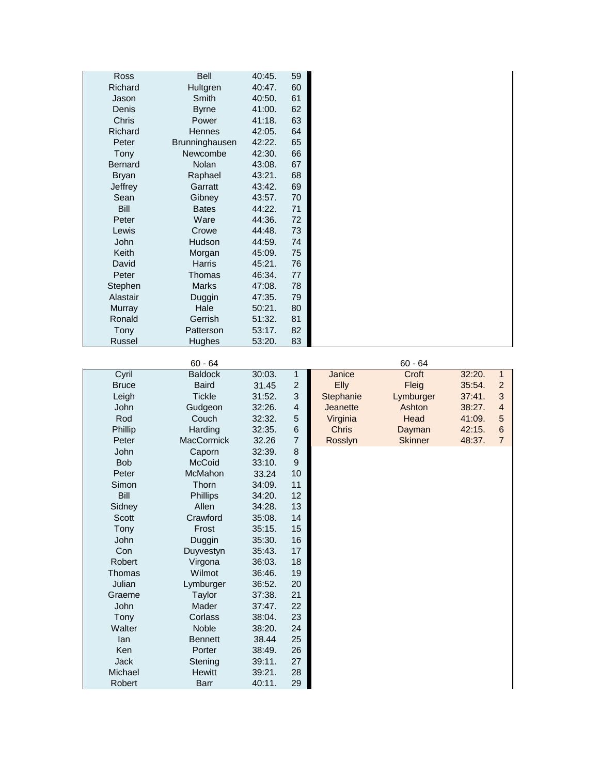| <b>Ross</b>    | <b>Bell</b>    | 40:45. | 59 |
|----------------|----------------|--------|----|
| Richard        | Hultgren       | 40:47. | 60 |
| Jason          | Smith          | 40:50. | 61 |
| Denis          | <b>Byrne</b>   | 41:00. | 62 |
| <b>Chris</b>   | Power          | 41:18. | 63 |
| Richard        | <b>Hennes</b>  | 42:05. | 64 |
| Peter          | Brunninghausen | 42:22. | 65 |
| Tony           | Newcombe       | 42:30. | 66 |
| <b>Bernard</b> | Nolan          | 43:08. | 67 |
| <b>Bryan</b>   | Raphael        | 43:21. | 68 |
| Jeffrey        | Garratt        | 43:42. | 69 |
| Sean           | Gibney         | 43:57. | 70 |
| <b>Bill</b>    | <b>Bates</b>   | 44:22. | 71 |
| Peter          | Ware           | 44:36. | 72 |
| Lewis          | Crowe          | 44:48. | 73 |
| John           | Hudson         | 44:59. | 74 |
| <b>Keith</b>   | Morgan         | 45:09. | 75 |
| David          | <b>Harris</b>  | 45:21. | 76 |
| Peter          | Thomas         | 46:34. | 77 |
| Stephen        | <b>Marks</b>   | 47:08. | 78 |
| Alastair       | Duggin         | 47:35. | 79 |
| Murray         | Hale           | 50:21. | 80 |
| Ronald         | Gerrish        | 51:32. | 81 |
| Tony           | Patterson      | 53:17. | 82 |
| Russel         | Hughes         | 53:20. | 83 |

|              | $60 - 64$         |        |                  |                 | $60 - 64$      |        |                 |
|--------------|-------------------|--------|------------------|-----------------|----------------|--------|-----------------|
| Cyril        | <b>Baldock</b>    | 30:03. | $\mathbf{1}$     | Janice          | Croft          | 32:20. | $\mathbf{1}$    |
| <b>Bruce</b> | <b>Baird</b>      | 31.45  | $\overline{c}$   | <b>Elly</b>     | Fleig          | 35:54. | $\overline{c}$  |
| Leigh        | <b>Tickle</b>     | 31:52. | 3                | Stephanie       | Lymburger      | 37:41. | 3               |
| John         | Gudgeon           | 32:26. | $\overline{4}$   | <b>Jeanette</b> | Ashton         | 38:27. | $\overline{4}$  |
| Rod          | Couch             | 32:32. | 5                | Virginia        | Head           | 41:09. | 5               |
| Phillip      | Harding           | 32:35. | $\,6$            | <b>Chris</b>    | Dayman         | 42:15. | $6\phantom{1}6$ |
| Peter        | <b>MacCormick</b> | 32.26  | $\overline{7}$   | Rosslyn         | <b>Skinner</b> | 48:37. | $\overline{7}$  |
| John         | Caporn            | 32:39. | 8                |                 |                |        |                 |
| <b>Bob</b>   | <b>McCoid</b>     | 33:10. | $\boldsymbol{9}$ |                 |                |        |                 |
| Peter        | <b>McMahon</b>    | 33.24  | 10               |                 |                |        |                 |
| Simon        | Thorn             | 34:09. | 11               |                 |                |        |                 |
| Bill         | <b>Phillips</b>   | 34:20. | 12               |                 |                |        |                 |
| Sidney       | Allen             | 34:28. | 13               |                 |                |        |                 |
| Scott        | Crawford          | 35:08. | 14               |                 |                |        |                 |
| Tony         | Frost             | 35:15. | 15               |                 |                |        |                 |
| John         | Duggin            | 35:30. | 16               |                 |                |        |                 |
| Con          | Duyvestyn         | 35:43. | 17               |                 |                |        |                 |
| Robert       | Virgona           | 36:03. | 18               |                 |                |        |                 |
| Thomas       | Wilmot            | 36:46. | 19               |                 |                |        |                 |
| Julian       | Lymburger         | 36:52. | 20               |                 |                |        |                 |
| Graeme       | Taylor            | 37:38. | 21               |                 |                |        |                 |
| John         | Mader             | 37:47. | 22               |                 |                |        |                 |
| Tony         | Corlass           | 38:04. | 23               |                 |                |        |                 |
| Walter       | <b>Noble</b>      | 38:20. | 24               |                 |                |        |                 |
| lan          | <b>Bennett</b>    | 38.44  | 25               |                 |                |        |                 |
| Ken          | Porter            | 38:49. | 26               |                 |                |        |                 |
| <b>Jack</b>  | Stening           | 39:11. | 27               |                 |                |        |                 |
| Michael      | <b>Hewitt</b>     | 39:21. | 28               |                 |                |        |                 |
| Robert       | <b>Barr</b>       | 40:11. | 29               |                 |                |        |                 |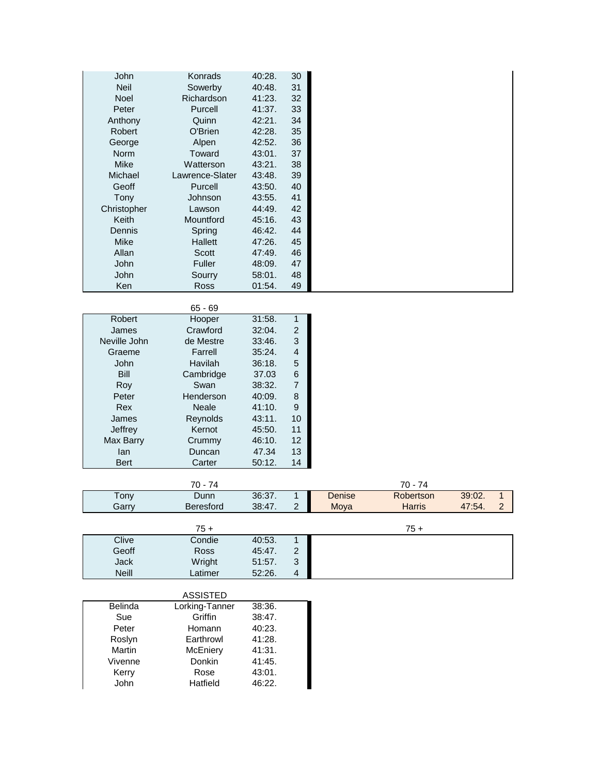| <b>John</b>   | Konrads         | 40:28. | 30 |
|---------------|-----------------|--------|----|
| <b>Neil</b>   | Sowerby         | 40:48. | 31 |
| <b>Noel</b>   | Richardson      | 41:23. | 32 |
| Peter         | Purcell         | 41:37. | 33 |
| Anthony       | Quinn           | 42:21. | 34 |
| <b>Robert</b> | O'Brien         | 42:28. | 35 |
| George        | Alpen           | 42:52. | 36 |
| <b>Norm</b>   | Toward          | 43:01. | 37 |
| <b>Mike</b>   | Watterson       | 43:21. | 38 |
| Michael       | Lawrence-Slater | 43:48. | 39 |
| Geoff         | Purcell         | 43:50. | 40 |
| Tony          | Johnson         | 43:55. | 41 |
| Christopher   | Lawson          | 44:49. | 42 |
| <b>Keith</b>  | Mountford       | 45:16. | 43 |
| <b>Dennis</b> | Spring          | 46:42. | 44 |
| Mike          | <b>Hallett</b>  | 47:26. | 45 |
| Allan         | Scott           | 47:49. | 46 |
| <b>John</b>   | Fuller          | 48:09. | 47 |
| John          | Sourry          | 58:01. | 48 |
| Ken           | <b>Ross</b>     | 01:54. | 49 |

|               | $65 - 69$ |        |                |
|---------------|-----------|--------|----------------|
| <b>Robert</b> | Hooper    | 31:58. | 1              |
| James         | Crawford  | 32:04. | 2              |
| Neville John  | de Mestre | 33:46. | 3              |
| Graeme        | Farrell   | 35:24. | 4              |
| John          | Havilah   | 36:18. | 5              |
| Bill          | Cambridge | 37.03  | 6              |
| Roy           | Swan      | 38:32. | $\overline{7}$ |
| Peter         | Henderson | 40:09. | 8              |
| Rex           | Neale     | 41:10. | 9              |
| James         | Reynolds  | 43:11. | 10             |
| Jeffrey       | Kernot    | 45:50. | 11             |
| Max Barry     | Crummy    | 46:10. | 12             |
| lan           | Duncan    | 47.34  | 13             |
| Bert          | Carter    | 50:12. | 14             |

|       | 4<br>′∪ -        |        |   |        | $70^{\circ}$<br>'∪ - |        |                |
|-------|------------------|--------|---|--------|----------------------|--------|----------------|
| ony   | Dunn             | 36:37. |   | Denise | Robertson            | 39:02. |                |
| Garrv | <b>Beresford</b> | 38:47. | - | Moya   | Harris               | 47:54. | $\overline{ }$ |

|              | $75+$       |        |        | $75+$ |
|--------------|-------------|--------|--------|-------|
| Clive        | Condie      | 40:53. | 4      |       |
| Geoff        | <b>Ross</b> | 45:47. |        |       |
| Jack         | Wright      | 51:57. | 2<br>ັ |       |
| <b>Neill</b> | ∟atimer     | 52:26. | 4      |       |

|                | <b>ASSISTED</b> |        |
|----------------|-----------------|--------|
| <b>Belinda</b> | Lorking-Tanner  | 38:36. |
| Sue            | Griffin         | 38:47. |
| Peter          | Homann          | 40:23. |
| Roslyn         | Earthrowl       | 41:28. |
| Martin         | McEniery        | 41:31. |
| Vivenne        | Donkin          | 41:45. |
| Kerry          | Rose            | 43:01. |
| John           | Hatfield        | 46:22. |